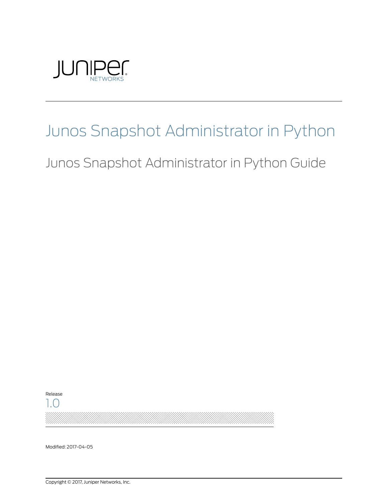

# Junos Snapshot Administrator in Python

Junos Snapshot Administrator in Python Guide

Release 1.0

Modified: 2017-04-05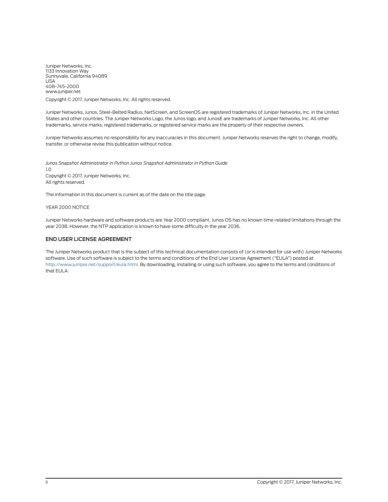Juniper Networks, Inc. 1133 Innovation Way Sunnyvale, California 94089 USA 408-745-2000 www.juniper.net

Copyright © 2017, Juniper Networks, Inc. All rights reserved.

Juniper Networks, Junos, Steel-Belted Radius, NetScreen, and ScreenOS are registered trademarks of Juniper Networks, Inc. in the United States and other countries. The Juniper Networks Logo, the Junos logo, and JunosE are trademarks of Juniper Networks, Inc. All other trademarks, service marks, registered trademarks, or registered service marks are the property of their respective owners.

Juniper Networks assumes no responsibility for any inaccuracies in this document. Juniper Networks reserves the right to change, modify, transfer, or otherwise revise this publication without notice.

*Junos Snapshot Administrator in Python Junos Snapshot Administrator in Python Guide* 1.0 Copyright © 2017, Juniper Networks, Inc. All rights reserved.

The information in this document is current as of the date on the title page.

#### YEAR 2000 NOTICE

Juniper Networks hardware and software products are Year 2000 compliant. Junos OS has no known time-related limitations through the year 2038. However, the NTP application is known to have some difficulty in the year 2036.

#### END USER LICENSE AGREEMENT

The Juniper Networks product that is the subject of this technical documentation consists of (or is intended for use with) Juniper Networks software. Use of such software is subject to the terms and conditions of the End User License Agreement ("EULA") posted at <http://www.juniper.net/support/eula.html>. By downloading, installing or using such software, you agree to the terms and conditions of that EULA.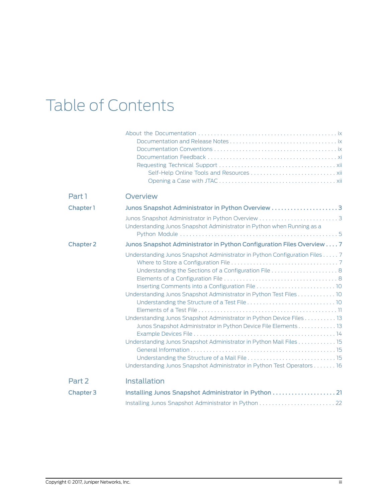# Table of Contents

| Part 1           | <b>Overview</b>                                                                                                                                                                                                                                                                                                                                                                                                                            |
|------------------|--------------------------------------------------------------------------------------------------------------------------------------------------------------------------------------------------------------------------------------------------------------------------------------------------------------------------------------------------------------------------------------------------------------------------------------------|
| Chapter 1        |                                                                                                                                                                                                                                                                                                                                                                                                                                            |
|                  | Understanding Junos Snapshot Administrator in Python when Running as a                                                                                                                                                                                                                                                                                                                                                                     |
| <b>Chapter 2</b> | Junos Snapshot Administrator in Python Configuration Files Overview 7                                                                                                                                                                                                                                                                                                                                                                      |
|                  | Understanding Junos Snapshot Administrator in Python Configuration Files 7<br>Understanding Junos Snapshot Administrator in Python Test Files 10<br>Understanding Junos Snapshot Administrator in Python Device Files 13<br>Junos Snapshot Administrator in Python Device File Elements 13<br>Understanding Junos Snapshot Administrator in Python Mail Files 15<br>Understanding Junos Snapshot Administrator in Python Test Operators 16 |
| Part 2           | <b>Installation</b>                                                                                                                                                                                                                                                                                                                                                                                                                        |
| <b>Chapter 3</b> | Installing Junos Snapshot Administrator in Python  21                                                                                                                                                                                                                                                                                                                                                                                      |
|                  |                                                                                                                                                                                                                                                                                                                                                                                                                                            |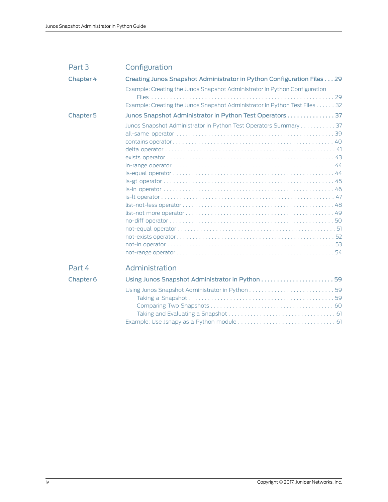| Part 3               | Configuration                                                              |
|----------------------|----------------------------------------------------------------------------|
| Chapter 4            | Creating Junos Snapshot Administrator in Python Configuration Files 29     |
|                      | Example: Creating the Junos Snapshot Administrator in Python Configuration |
|                      | Example: Creating the Junos Snapshot Administrator in Python Test Files 32 |
| <b>Chapter 5</b>     | Junos Snapshot Administrator in Python Test Operators 37                   |
|                      | Junos Snapshot Administrator in Python Test Operators Summary 37           |
| Part 4               | Administration                                                             |
| Chapter <sub>6</sub> |                                                                            |
|                      |                                                                            |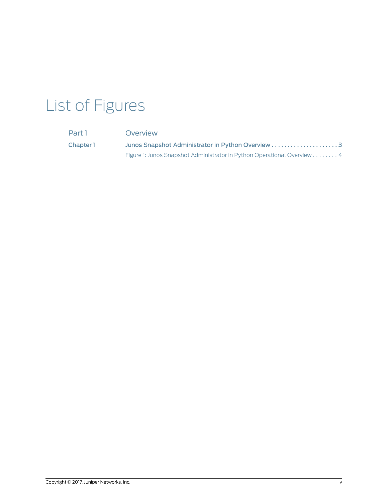# List of Figures

| Part 1    | Overview                                                                |  |
|-----------|-------------------------------------------------------------------------|--|
| Chapter 1 |                                                                         |  |
|           | Figure 1: Junos Snapshot Administrator in Python Operational Overview 4 |  |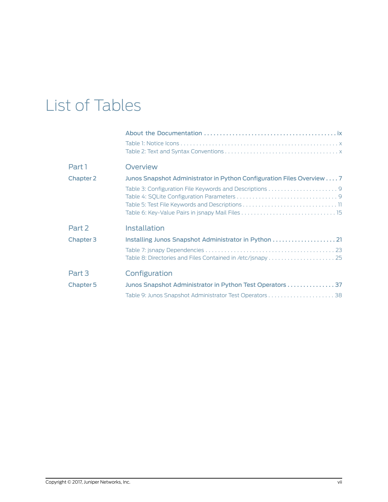# List of Tables

| Part 1           | Overview                                                              |
|------------------|-----------------------------------------------------------------------|
| <b>Chapter 2</b> | Junos Snapshot Administrator in Python Configuration Files Overview 7 |
|                  |                                                                       |
|                  |                                                                       |
|                  |                                                                       |
|                  |                                                                       |
| Part 2           | <b>Installation</b>                                                   |
| Chapter 3        |                                                                       |
|                  |                                                                       |
|                  |                                                                       |
| Part 3           | Configuration                                                         |
| <b>Chapter 5</b> | Junos Snapshot Administrator in Python Test Operators  37             |
|                  |                                                                       |
|                  |                                                                       |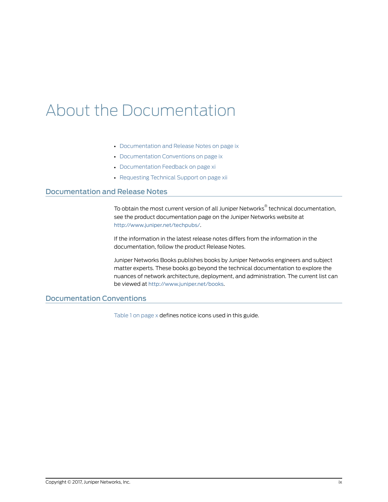# <span id="page-8-0"></span>About the Documentation

- [Documentation](#page-8-1) and Release Notes on [page](#page-8-1) ix
- [Documentation](#page-8-2) Conventions on [page](#page-8-2) ix
- [Documentation](#page-10-0) Feedback on [page](#page-10-0) xi
- [Requesting](#page-11-0) Technical Support on [page](#page-11-0) xii

### <span id="page-8-1"></span>Documentation and Release Notes

To obtain the most current version of all Juniper Networks ® technical documentation, see the product documentation page on the Juniper Networks website at <http://www.juniper.net/techpubs/>.

If the information in the latest release notes differs from the information in the documentation, follow the product Release Notes.

Juniper Networks Books publishes books by Juniper Networks engineers and subject matter experts. These books go beyond the technical documentation to explore the nuances of network architecture, deployment, and administration. The current list can be viewed at <http://www.juniper.net/books>.

## <span id="page-8-2"></span>Documentation Conventions

[Table](#page-9-0) 1 on page x defines notice icons used in this guide.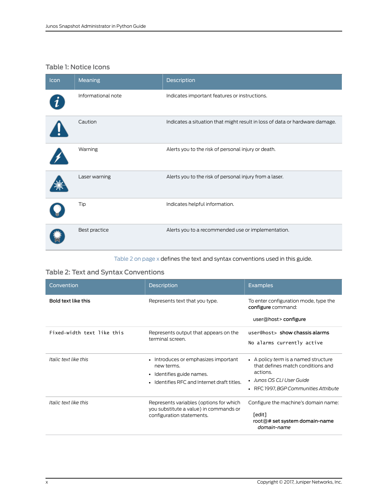## <span id="page-9-0"></span>Table 1: Notice Icons

| Icon | Meaning            | Description                                                                 |
|------|--------------------|-----------------------------------------------------------------------------|
|      | Informational note | Indicates important features or instructions.                               |
|      | Caution            | Indicates a situation that might result in loss of data or hardware damage. |
|      | Warning            | Alerts you to the risk of personal injury or death.                         |
|      | Laser warning      | Alerts you to the risk of personal injury from a laser.                     |
|      | Tip                | Indicates helpful information.                                              |
|      | Best practice      | Alerts you to a recommended use or implementation.                          |

## <span id="page-9-1"></span>[Table](#page-9-1) 2 on page x defines the text and syntax conventions used in this guide.

## Table 2: Text and Syntax Conventions

| Convention                 | <b>Description</b>                                                                                                                                 | <b>Examples</b>                                                                                                                                                |
|----------------------------|----------------------------------------------------------------------------------------------------------------------------------------------------|----------------------------------------------------------------------------------------------------------------------------------------------------------------|
| Bold text like this        | Represents text that you type.                                                                                                                     | To enter configuration mode, type the<br>configure command:<br>user@host>configure                                                                             |
| Fixed-width text like this | Represents output that appears on the<br>terminal screen.                                                                                          | user@host> show chassis alarms<br>No alarms currently active                                                                                                   |
| Italic text like this      | Introduces or emphasizes important<br>$\bullet$<br>new terms.<br>Identifies guide names.<br>$\bullet$<br>Identifies RFC and Internet draft titles. | • A policy term is a named structure<br>that defines match conditions and<br>actions.<br>• Junos OS CLI User Guide<br>RFC 1997, BGP Communities Attribute<br>٠ |
| Italic text like this      | Represents variables (options for which<br>you substitute a value) in commands or<br>configuration statements.                                     | Configure the machine's domain name:<br>[edit]<br>root@# set system domain-name<br>domain-name                                                                 |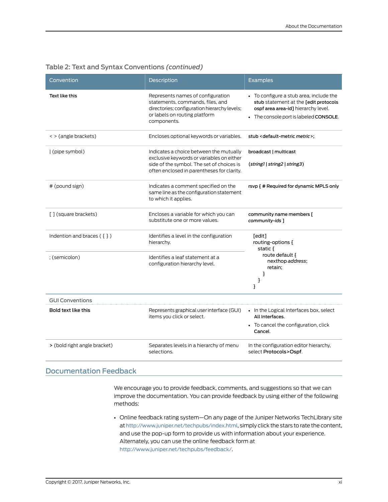| Convention                   | Description                                                                                                                                                                     | Examples                                                                                                                                                          |
|------------------------------|---------------------------------------------------------------------------------------------------------------------------------------------------------------------------------|-------------------------------------------------------------------------------------------------------------------------------------------------------------------|
| Text like this               | Represents names of configuration<br>statements, commands, files, and<br>directories; configuration hierarchy levels;<br>or labels on routing platform<br>components.           | • To configure a stub area, include the<br>stub statement at the [edit protocols<br>ospf area area-id] hierarchy level.<br>• The console port is labeled CONSOLE. |
| < > (angle brackets)         | Encloses optional keywords or variables.                                                                                                                                        | stub <default-metric metric="">;</default-metric>                                                                                                                 |
| (pipe symbol)                | Indicates a choice between the mutually<br>exclusive keywords or variables on either<br>side of the symbol. The set of choices is<br>often enclosed in parentheses for clarity. | broadcast   multicast<br>(string1   string2   string3)                                                                                                            |
| # (pound sign)               | Indicates a comment specified on the<br>same line as the configuration statement<br>to which it applies.                                                                        | rsvp { # Required for dynamic MPLS only                                                                                                                           |
| [] (square brackets)         | Encloses a variable for which you can<br>substitute one or more values.                                                                                                         | community name members [<br>community-ids ]                                                                                                                       |
| Indention and braces $(3)$   | Identifies a level in the configuration<br>hierarchy.                                                                                                                           | [edit]<br>routing-options {<br>static $\{$                                                                                                                        |
| ; (semicolon)                | Identifies a leaf statement at a<br>configuration hierarchy level.                                                                                                              | route default {<br>nexthop address;<br>retain;<br>3<br>}<br>}                                                                                                     |
| <b>GUI Conventions</b>       |                                                                                                                                                                                 |                                                                                                                                                                   |
| Bold text like this          | Represents graphical user interface (GUI)<br>items you click or select.                                                                                                         | • In the Logical Interfaces box, select<br>All Interfaces.<br>• To cancel the configuration, click<br>Cancel.                                                     |
| > (bold right angle bracket) | Separates levels in a hierarchy of menu<br>selections.                                                                                                                          | In the configuration editor hierarchy,<br>select Protocols>Ospf.                                                                                                  |

### Table 2: Text and Syntax Conventions *(continued)*

## <span id="page-10-0"></span>Documentation Feedback

We encourage you to provide feedback, comments, and suggestions so that we can improve the documentation. You can provide feedback by using either of the following methods:

• Online feedback rating system—On any page of the Juniper Networks TechLibrary site at <http://www.juniper.net/techpubs/index.html>, simply click the stars to rate the content, and use the pop-up form to provide us with information about your experience. Alternately, you can use the online feedback form at <http://www.juniper.net/techpubs/feedback/>.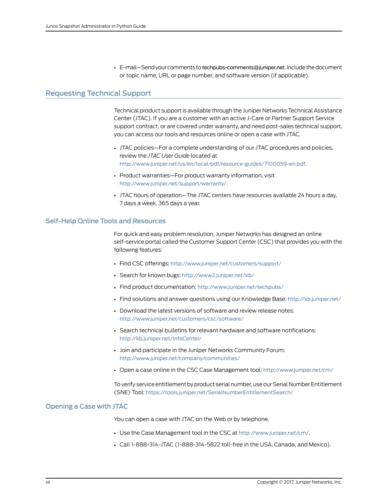• E-mail—Send your comments to [techpubs-comments@juniper.net](mailto:techpubs-comments@juniper.net?subject=). Include the document or topic name, URL or page number, and software version (if applicable).

### <span id="page-11-0"></span>Requesting Technical Support

Technical product support is available through the Juniper NetworksTechnical Assistance Center (JTAC). If you are a customer with an active J-Care or Partner Support Service support contract, or are covered under warranty, and need post-sales technical support, you can access our tools and resources online or open a case with JTAC.

- JTAC policies—For a complete understanding of our JTAC procedures and policies, review the *JTAC User Guide* located at <http://www.juniper.net/us/en/local/pdf/resource-guides/7100059-en.pdf>.
- Product warranties—For product warranty information, visit <http://www.juniper.net/support/warranty/>.
- JTAC hours of operation—The JTAC centers have resources available 24 hours a day, 7 days a week, 365 days a year.

#### <span id="page-11-1"></span>Self-Help Online Tools and Resources

For quick and easy problem resolution, Juniper Networks has designed an online self-service portal called the Customer Support Center (CSC) that provides you with the following features:

- Find CSC offerings: <http://www.juniper.net/customers/support/>
- Search for known bugs: <http://www2.juniper.net/kb/>
- Find product documentation: <http://www.juniper.net/techpubs/>
- Find solutions and answer questions using our Knowledge Base: <http://kb.juniper.net/>
- Download the latest versions of software and review release notes: <http://www.juniper.net/customers/csc/software/>
- Search technical bulletins for relevant hardware and software notifications: <http://kb.juniper.net/InfoCenter/>
- Join and participate in the Juniper Networks Community Forum: <http://www.juniper.net/company/communities/>
- Open a case online in the CSC Case Management tool: <http://www.juniper.net/cm/>

To verify service entitlement by product serial number, use our Serial Number Entitlement (SNE) Tool: <https://tools.juniper.net/SerialNumberEntitlementSearch/>

#### <span id="page-11-2"></span>Opening a Case with JTAC

You can open a case with JTAC on the Web or by telephone.

- Use the Case Management tool in the CSC at <http://www.juniper.net/cm/>.
- Call 1-888-314-JTAC (1-888-314-5822 toll-free in the USA, Canada, and Mexico).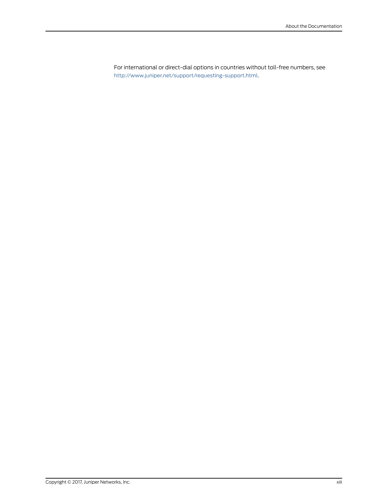For international or direct-dial options in countries without toll-free numbers, see <http://www.juniper.net/support/requesting-support.html>.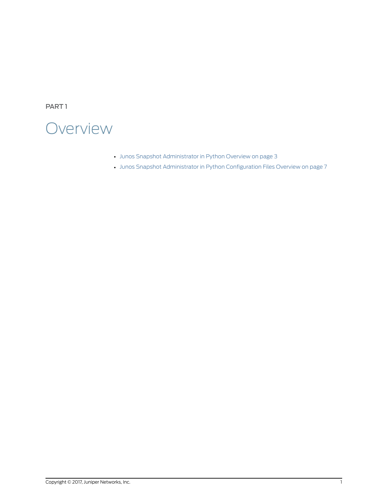<span id="page-14-0"></span>PART 1

## **Overview**

- Junos Snapshot [Administrator](#page-16-0) in Python Overview on [page](#page-16-0) 3
- Junos Snapshot [Administrator](#page-20-0) in Python Configuration Files Overview on [page](#page-20-0) 7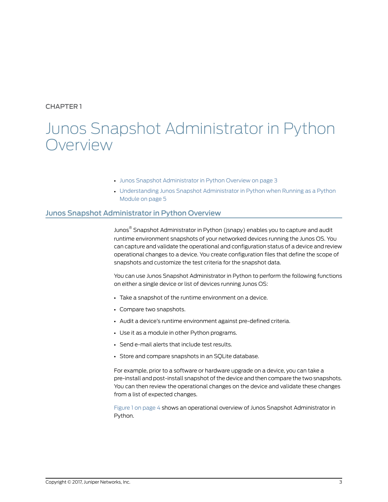## <span id="page-16-0"></span>CHAPTER 1

## Junos Snapshot Administrator in Python Overview

- Junos Snapshot [Administrator](#page-16-1) in Python Overview on [page](#page-16-1) 3
- [Understanding](#page-18-0) Junos Snapshot Administrator in Python when Running as a Python [Module](#page-18-0) on [page](#page-18-0) 5

## <span id="page-16-1"></span>Junos Snapshot Administrator in Python Overview

Junos ® Snapshot Administrator in Python (jsnapy) enables you to capture and audit runtime environment snapshots of your networked devices running the Junos OS. You can capture and validate the operational and configuration status of a device and review operational changes to a device. You create configuration files that define the scope of snapshots and customize the test criteria for the snapshot data.

You can use Junos Snapshot Administrator in Python to perform the following functions on either a single device or list of devices running Junos OS:

- Take a snapshot of the runtime environment on a device.
- Compare two snapshots.
- Audit a device's runtime environment against pre-defined criteria.
- Use it as a module in other Python programs.
- Send e-mail alerts that include test results.
- Store and compare snapshots in an SQLite database.

For example, prior to a software or hardware upgrade on a device, you can take a pre-install and post-install snapshot of the device and then compare the two snapshots. You can then review the operational changes on the device and validate these changes from a list of expected changes.

[Figure](#page-17-0) 1 on page 4 shows an operational overview of Junos Snapshot Administrator in Python.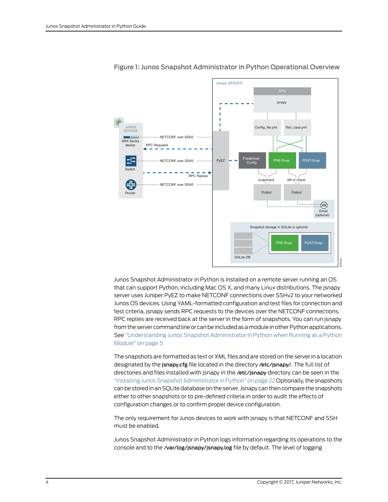

#### <span id="page-17-0"></span>Figure 1: Junos Snapshot Administrator in Python Operational Overview

Junos Snapshot Administrator in Python is installed on a remote server running an OS that can support Python, including Mac OS X, and many Linux distributions. The jsnapy server uses Juniper PyEZ to make NETCONF connections over SSHv2 to your networked Junos OS devices. Using YAML-formatted configuration and test files for connection and test criteria, jsnapy sends RPC requests to the devices over the NETCONF connections. RPC replies are received back at the server in the form of snapshots. You can run jsnapy from the server command line or can be included as a module in other Python applications. See ["Understanding](#page-18-0) Junos Snapshot Administrator in Python when Running as a Python [Module"](#page-18-0) on page 5

The snapshots are formatted as text or XML files and are stored on the serverin a location designated by the jsnapy.cfg file located in the directory /etc/jsnapy/. The full list of directories and files installed with jsnapy in the /etc/jsnapy directory can be seen in the "Installing Junos Snapshot [Administratorin](#page-35-0) Python" on page 22 Optionally, the snapshots can be stored in an SQLite database on the server. Jsnapy can then compare the snapshots either to other snapshots or to pre-defined criteria in order to audit the effects of configuration changes or to confirm proper device configuration.

The only requirement for Junos devices to work with jsnapy is that NETCONF and SSH must be enabled.

Junos Snapshot Administrator in Python logs information regarding its operations to the console and to the /var/log/jsnapy/jsnapy.log file by default. The level of logging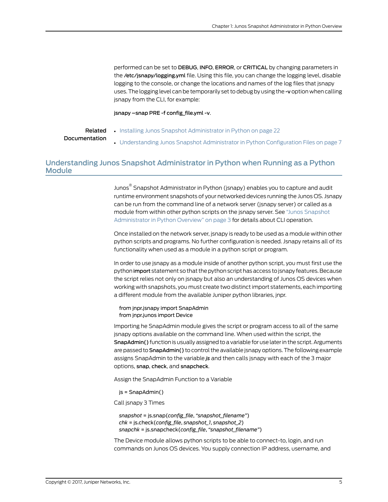performed can be set to DEBUG, INFO, ERROR, or CRITICAL by changing parameters in the /etc/jsnapy/logging.yml file. Using this file, you can change the logging level, disable logging to the console, or change the locations and names of the log files that jsnapy uses.The logging level canbe temporarily set todebugby using the -v option when calling jsnapy from the CLI, for example:

jsnapy –snap PRE -f config\_file.yml -v.

#### Related Documentation

- Installing Junos Snapshot [Administrator](#page-35-0) in Python on page 22
- [Understanding](#page-20-1) Junos Snapshot Administrator in Python Configuration Files on page 7

## <span id="page-18-0"></span>Understanding Junos Snapshot Administrator in Python when Running as a Python Module

Junos ® Snapshot Administrator in Python (jsnapy) enables you to capture and audit runtime environment snapshots of your networked devices running the Junos OS. Jsnapy can be run from the command line of a network server (jsnapy server) or called as a module from within other python scripts on the jsnapy server. See "Junos [Snapshot](#page-16-1) [Administrator](#page-16-1) in Python Overview" on page 3 for details about CLI operation.

Once installed on the network server, jsnapy is ready to be used as a module within other python scripts and programs. No further configuration is needed. Jsnapy retains all of its functionality when used as a module in a python script or program.

In order to use jsnapy as a module inside of another python script, you must first use the python import statement so that the python script has access to jsnapy features. Because the script relies not only on jsnapy but also an understanding of Junos OS devices when working with snapshots, you must create two distinct import statements, each importing a different module from the available Juniper python libraries, jnpr.

#### from jnpr.jsnapy import SnapAdmin from jnpr.junos import Device

Importing he SnapAdmin module gives the script or program access to all of the same jsnapy options available on the command line. When used within the script, the SnapAdmin() function is usually assigned to a variable for use later in the script. Arguments are passed to **SnapAdmin()** to control the available jsnapy options. The following example assigns SnapAdmin to the variable *js* and then calls jsnapy with each of the 3 major options, snap, check, and snapcheck.

Assign the SnapAdmin Function to a Variable

js = SnapAdmin()

Call jsnapy 3 Times

```
snapshot = js.snap(config_file, "snapshot_filename")
chk = js.check(config_file, snapshot_1, snapshot_2)
snapchk = js.snapcheck(config_file, "snapshot_filename")
```
The Device module allows python scripts to be able to connect-to, login, and run commands on Junos OS devices. You supply connection IP address, username, and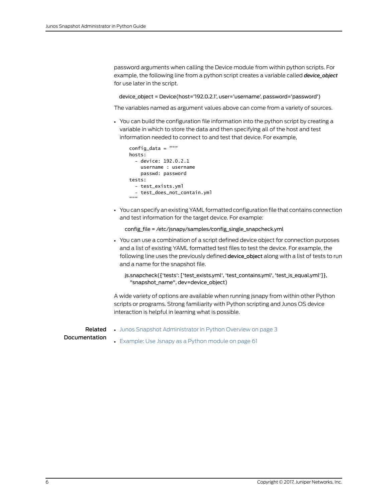password arguments when calling the Device module from within python scripts. For example, the following line from a python script creates a variable called *device\_object* for use later in the script.

device\_object = Device(host='192.0.2.1', user='username', password='password')

The variables named as argument values above can come from a variety of sources.

• You can build the configuration file information into the python script by creating a variable in which to store the data and then specifying all of the host and test information needed to connect to and test that device. For example,

```
config_data = """
hosts:
   - device: 192.0.2.1
     username : username
     passwd: password
tests:
   - test_exists.yml
   - test_does_not_contain.yml
"""
```
• You can specify an existing YAML formatted configuration file that contains connection and test information for the target device. For example:

```
config_file = /etc/jsnapy/samples/config_single_snapcheck.yml
```
- You can use a combination of a script defined device object for connection purposes and a list of existing YAML formatted test files to test the device. For example, the following line uses the previously defined device\_object along with a list of tests to run and a name for the snapshot file.
	- js.snapcheck({'tests': ['test\_exists.yml', 'test\_contains.yml', 'test\_is\_equal.yml']}, "snapshot\_name", dev=device\_object)

A wide variety of options are available when running jsnapy from within other Python scripts or programs. Strong familiarity with Python scripting and Junos OS device interaction is helpful in learning what is possible.

Related Documentation

• Junos Snapshot [Administrator](#page-16-1) in Python Overview on page 3

```
• Example: Use Jsnapy as a Python module on page 61
```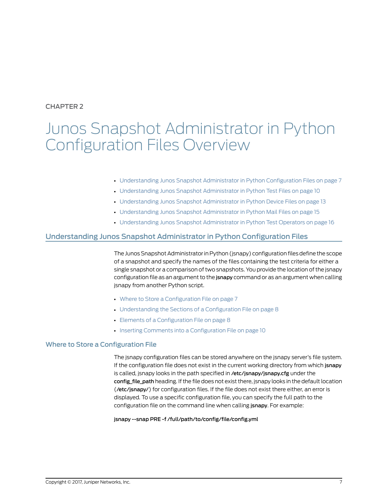## <span id="page-20-0"></span>CHAPTER 2

## Junos Snapshot Administrator in Python Configuration Files Overview

#### • [Understanding](#page-20-1) Junos Snapshot Administrator in Python Configuration Files on [page](#page-20-1) 7

- [Understanding](#page-23-1) Junos Snapshot Administrator in Python Test Files on [page](#page-23-1) 10
- [Understanding](#page-26-0) Junos Snapshot Administrator in Python Device Files on [page](#page-26-0) 13
- [Understanding](#page-28-0) Junos Snapshot Administrator in Python Mail Files on [page](#page-28-0) 15
- [Understanding](#page-29-0) Junos Snapshot Administrator in Python Test Operators on [page](#page-29-0) 16

## <span id="page-20-1"></span>Understanding Junos Snapshot Administrator in Python Configuration Files

The Junos Snapshot Administratorin Python (jsnapy) configuration filesdefine the scope of a snapshot and specify the names of the files containing the test criteria for either a single snapshot or a comparison of two snapshots. You provide the location of the jsnapy configuration file as an argument to the **jsnapy** command or as an argument when calling jsnapy from another Python script.

- Where to Store a [Configuration](#page-20-2) File on [page](#page-20-2) 7
- [Understanding](#page-21-0) the Sections of a Configuration File on [page](#page-21-0) 8
- Elements of a [Configuration](#page-21-1) File on [page](#page-21-1) 8
- Inserting Comments into a [Configuration](#page-23-0) File on [page](#page-23-0) 10

#### <span id="page-20-2"></span>Where to Store a Configuration File

The jsnapy configuration files can be stored anywhere on the jsnapy server's file system. If the configuration file does not exist in the current working directory from which jsnapy is called, jsnapy looks in the path specified in /etc/jsnapy/jsnapy.cfg under the config file path heading. If the file does not exist there, jsnapy looks in the default location (/etc/jsnapy/) for configuration files. If the file does not exist there either, an error is displayed. To use a specific configuration file, you can specify the full path to the configuration file on the command line when calling jsnapy. For example:

#### jsnapy --snap PRE -f /full/path/to/config/file/config.yml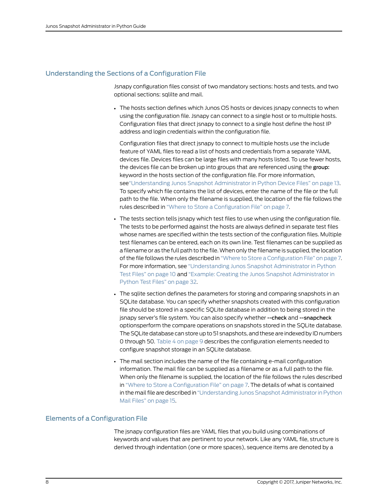### <span id="page-21-0"></span>Understanding the Sections of a Configuration File

Jsnapy configuration files consist of two mandatory sections: hosts and tests, and two optional sections: sqlilte and mail.

• The hosts section defines which Junos OS hosts or devices jsnapy connects to when using the configuration file. Jsnapy can connect to a single host or to multiple hosts. Configuration files that direct jsnapy to connect to a single host define the host IP address and login credentials within the configuration file.

Configuration files that direct jsnapy to connect to multiple hosts use the include feature of YAML files to read a list of hosts and credentials from a separate YAML devices file. Devices files can be large files with many hosts listed. To use fewer hosts, the devices file can be broken up into groups that are referenced using the group: keyword in the hosts section of the configuration file. For more information, se[e"Understanding](#page-26-0) Junos Snapshot Administrator in Python Device Files" on page 13. To specify which file contains the list of devices, enter the name of the file or the full path to the file. When only the filename is supplied, the location of the file follows the rules described in "Where to Store a [Configuration](#page-20-2) File" on page 7.

- The tests section tells jsnapy which test files to use when using the configuration file. The tests to be performed against the hosts are always defined in separate test files whose names are specified within the tests section of the configuration files. Multiple test filenames can be entered, each on its own line. Test filenames can be supplied as a filename or as the full path to the file.When only the filename is supplied, the location of the file follows the rules described in "Where to Store a [Configuration](#page-20-2) File" on page 7. For more information, see ["Understanding](#page-23-1) Junos Snapshot Administrator in Python Test [Files"](#page-23-1) on page 10 and "Example: Creating the Junos Snapshot [Administrator](#page-45-0) in [Python](#page-45-0) Test Files" on page 32.
- The sqlite section defines the parameters for storing and comparing snapshots in an SQLite database. You can specify whether snapshots created with this configuration file should be stored in a specific SQLite database in addition to being stored in the jsnapy server's file system. You can also specify whether --check and --snapcheck optionsperform the compare operations on snapshots stored in the SQLite database. The SQLite database can store up to 51 snapshots, and these are indexed by ID numbers 0 through 50. [Table](#page-22-1) 4 on page 9 describes the configuration elements needed to configure snapshot storage in an SQLite database.
- The mail section includes the name of the file containing e-mail configuration information. The mail file can be supplied as a filename or as a full path to the file. When only the filename is supplied, the location of the file follows the rules described in "Where to Store a [Configuration](#page-20-2) File" on page 7. The details of what is contained in the mail file are described in "Understanding Junos Snapshot Administrator in Python Mail [Files"](#page-28-0) on page 15.

#### <span id="page-21-1"></span>Elements of a Configuration File

The jsnapy configuration files are YAML files that you build using combinations of keywords and values that are pertinent to your network. Like any YAML file, structure is derived through indentation (one or more spaces), sequence items are denoted by a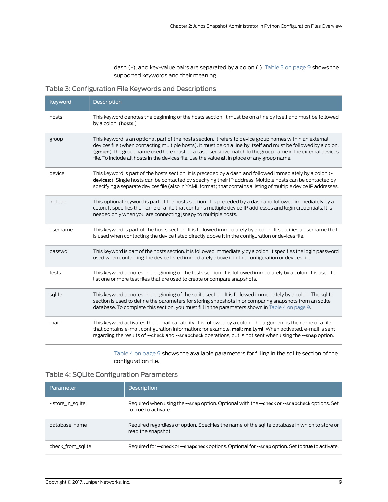<span id="page-22-0"></span>dash (-), and key-value pairs are separated by a colon (:). [Table](#page-22-0) 3 on page 9 shows the supported keywords and their meaning.

Table 3: Configuration File Keywords and Descriptions

| Keyword  | Description                                                                                                                                                                                                                                                                                                                                                                                                                                |
|----------|--------------------------------------------------------------------------------------------------------------------------------------------------------------------------------------------------------------------------------------------------------------------------------------------------------------------------------------------------------------------------------------------------------------------------------------------|
| hosts    | This keyword denotes the beginning of the hosts section. It must be on a line by itself and must be followed<br>by a colon. (hosts:)                                                                                                                                                                                                                                                                                                       |
| group    | This keyword is an optional part of the hosts section. It refers to device group names within an external<br>devices file (when contacting multiple hosts). It must be on a line by itself and must be followed by a colon.<br>(group:) The group name used here must be a case-sensitive match to the group name in the external devices<br>file. To include all hosts in the devices file, use the value all in place of any group name. |
| device   | This keyword is part of the hosts section. It is preceded by a dash and followed immediately by a colon (-<br>devices:). Single hosts can be contacted by specifying their IP address. Multiple hosts can be contacted by<br>specifying a separate devices file (also in YAML format) that contains a listing of multiple device IP addresses.                                                                                             |
| include  | This optional keyword is part of the hosts section. It is preceded by a dash and followed immediately by a<br>colon. It specifies the name of a file that contains multiple device IP addresses and login credentials. It is<br>needed only when you are connecting is napy to multiple hosts.                                                                                                                                             |
| username | This keyword is part of the hosts section. It is followed immediately by a colon. It specifies a username that<br>is used when contacting the device listed directly above it in the configuration or devices file.                                                                                                                                                                                                                        |
| passwd   | This keyword is part of the hosts section. It is followed immediately by a colon. It specifies the login password<br>used when contacting the device listed immediately above it in the configuration or devices file.                                                                                                                                                                                                                     |
| tests    | This keyword denotes the beginning of the tests section. It is followed immediately by a colon. It is used to<br>list one or more test files that are used to create or compare snapshots.                                                                                                                                                                                                                                                 |
| sqlite   | This keyword denotes the beginning of the sqlite section. It is followed immediately by a colon. The sqlite<br>section is used to define the parameters for storing snapshots in or comparing snapshots from an sqlite<br>database. To complete this section, you must fill in the parameters shown in Table 4 on page 9.                                                                                                                  |
| mail     | This keyword activates the e-mail capability. It is followed by a colon. The argument is the name of a file<br>that contains e-mail configuration information; for example, mail: mail.yml. When activated, e-mail is sent<br>regarding the results of --check and --snapcheck operations, but is not sent when using the --snap option.                                                                                                   |

<span id="page-22-1"></span>[Table](#page-22-1) 4 on page 9 shows the available parameters for filling in the sqlite section of the configuration file.

## Table 4: SQLite Configuration Parameters

| Parameter          | <b>Description</b>                                                                                                          |
|--------------------|-----------------------------------------------------------------------------------------------------------------------------|
| - store in salite: | Required when using the --snap option. Optional with the --check or --snapcheck options. Set<br>to <b>true</b> to activate. |
| database name      | Required regardless of option. Specifies the name of the sqlite database in which to store or<br>read the snapshot.         |
| check from sqlite  | Required for --check or --snapcheck options. Optional for --snap option. Set to true to activate.                           |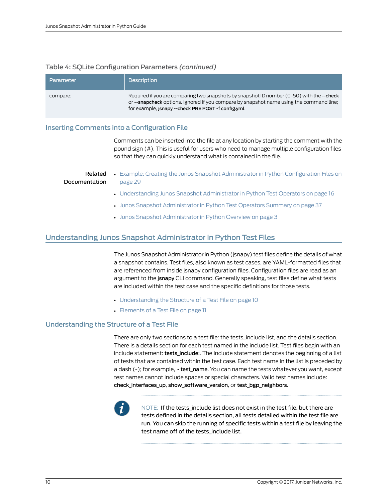## Table 4: SQLite Configuration Parameters *(continued)*

| Parameter | <b>Description</b>                                                                                                                                                                                                                           |
|-----------|----------------------------------------------------------------------------------------------------------------------------------------------------------------------------------------------------------------------------------------------|
| compare:  | Required if you are comparing two snapshots by snapshot ID number (0-50) with the --check<br>or --snapcheck options. Ignored if you compare by snapshot name using the command line;<br>for example, jsnapy -- check PRE POST -f config.yml. |

### <span id="page-23-0"></span>Inserting Comments into a Configuration File

Comments can be inserted into the file at any location by starting the comment with the pound sign (#). This is useful for users who need to manage multiple configuration files so that they can quickly understand what is contained in the file.

#### Related Documentation

- Example: Creating the Junos Snapshot [Administrator](#page-42-1) in Python Configuration Files on [page](#page-42-1) 29
	- [Understanding](#page-29-0) Junos Snapshot Administrator in Python Test Operators on page 16
	- Junos Snapshot [Administrator](#page-50-1) in Python Test Operators Summary on page 37
	- Junos Snapshot [Administrator](#page-16-1) in Python Overview on page 3

## <span id="page-23-1"></span>Understanding Junos Snapshot Administrator in Python Test Files

The Junos Snapshot Administrator in Python (jsnapy) test files define the details of what a snapshot contains. Test files, also known as test cases, are YAML-formatted files that are referenced from inside jsnapy configuration files. Configuration files are read as an argument to the jsnapy CLI command. Generally speaking, test files define what tests are included within the test case and the specific definitions for those tests.

- [Understanding](#page-23-2) the Structure of a Test File on [page](#page-23-2) 10
- [Elements](#page-24-0) of a Test File on [page](#page-24-0) 11

## <span id="page-23-2"></span>Understanding the Structure of a Test File

There are only two sections to a test file: the tests\_include list, and the details section. There is a details section for each test named in the include list. Test files begin with an include statement: tests include:. The include statement denotes the beginning of a list of tests that are contained within the test case. Each test name in the list is preceded by a dash (-); for example, - test\_name. You can name the tests whatever you want, except test names cannot include spaces or special characters. Valid test names include: check\_interfaces\_up, show\_software\_version, or test\_bgp\_neighbors.



NOTE: If the tests\_include list does not exist in the test file, but there are tests defined in the details section, all tests detailed within the test file are run. You can skip the running of specific tests within a test file by leaving the test name off of the tests\_include list.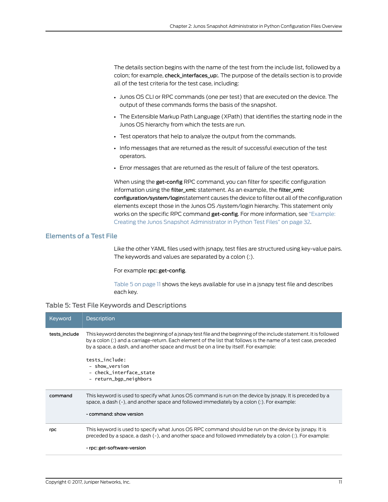The details section begins with the name of the test from the include list, followed by a colon; for example, check\_interfaces\_up:. The purpose of the details section is to provide all of the test criteria for the test case, including:

- Junos OS CLI or RPC commands (one per test) that are executed on the device. The output of these commands forms the basis of the snapshot.
- The Extensible Markup Path Language (XPath) that identifies the starting node in the Junos OS hierarchy from which the tests are run.
- Test operators that help to analyze the output from the commands.
- Info messages that are returned as the result of successful execution of the test operators.
- Error messages that are returned as the result of failure of the test operators.

When using the get-config RPC command, you can filter for specific configuration information using the filter\_xml: statement. As an example, the filter\_xml: configuration/system/loginstatement causes the device to filter out all of the configuration elements except those in the Junos OS /system/login hierarchy. This statement only works on the specific RPC command get-config. For more information, see ["Example:](#page-45-0) Creating the Junos Snapshot [Administrator](#page-45-0) in Python Test Files" on page 32.

#### <span id="page-24-0"></span>Elements of a Test File

Like the other YAML files used with jsnapy, test files are structured using key-value pairs. The keywords and values are separated by a colon (:).

<span id="page-24-1"></span>For example rpc: get-config.

[Table](#page-24-1) 5 on page 11 shows the keys available for use in a jsnapy test file and describes each key.

#### Table 5: Test File Keywords and Descriptions

| Keyword       | <b>Description</b>                                                                                                                                                                                                                                                                                                             |
|---------------|--------------------------------------------------------------------------------------------------------------------------------------------------------------------------------------------------------------------------------------------------------------------------------------------------------------------------------|
| tests include | This keyword denotes the beginning of a jsnapy test file and the beginning of the include statement. It is followed<br>by a colon (:) and a carriage-return. Each element of the list that follows is the name of a test case, preceded<br>by a space, a dash, and another space and must be on a line by itself. For example: |
|               | tests_include:<br>- show version<br>- check interface state<br>- return_bgp_neighbors                                                                                                                                                                                                                                          |
| command       | This keyword is used to specify what Junos OS command is run on the device by jsnapy. It is preceded by a<br>space, a dash $(-)$ , and another space and followed immediately by a colon $(:)$ . For example:<br>- command: show version                                                                                       |
| rpc           | This keyword is used to specify what Junos OS RPC command should be run on the device by isnapy. It is<br>preceded by a space, a dash (-), and another space and followed immediately by a colon (:). For example:                                                                                                             |
|               | - rpc: get-software-version                                                                                                                                                                                                                                                                                                    |
|               |                                                                                                                                                                                                                                                                                                                                |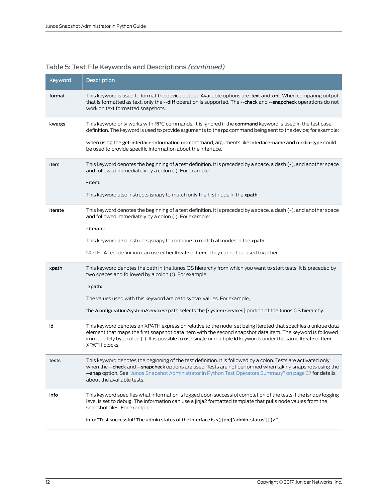## Table 5: Test File Keywords and Descriptions *(continued)*

| Keyword | Description                                                                                                                                                                                                                                                                                                                                                             |
|---------|-------------------------------------------------------------------------------------------------------------------------------------------------------------------------------------------------------------------------------------------------------------------------------------------------------------------------------------------------------------------------|
| format  | This keyword is used to format the device output. Available options are: text and xml. When comparing output<br>that is formatted as text, only the --diff operation is supported. The --check and --snapcheck operations do not<br>work on text formatted snapshots.                                                                                                   |
| kwargs  | This keyword only works with RPC commands. It is ignored if the command keyword is used in the test case<br>definition. The keyword is used to provide arguments to the rpc command being sent to the device; for example:                                                                                                                                              |
|         | when using the get-interface-information rpc command, arguments like interface-name and media-type could<br>be used to provide specific information about the interface.                                                                                                                                                                                                |
| item    | This keyword denotes the beginning of a test definition. It is preceded by a space, a dash (-), and another space<br>and followed immediately by a colon (:). For example:                                                                                                                                                                                              |
|         | - item:                                                                                                                                                                                                                                                                                                                                                                 |
|         | This keyword also instructs jsnapy to match only the first node in the xpath.                                                                                                                                                                                                                                                                                           |
| iterate | This keyword denotes the beginning of a test definition. It is preceded by a space, a dash (-), and another space<br>and followed immediately by a colon (:). For example:                                                                                                                                                                                              |
|         | - iterate:                                                                                                                                                                                                                                                                                                                                                              |
|         | This keyword also instructs jsnapy to continue to match all nodes in the xpath.                                                                                                                                                                                                                                                                                         |
|         | NOTE: A test definition can use either iterate or item. They cannot be used together.                                                                                                                                                                                                                                                                                   |
| xpath   | This keyword denotes the path in the Junos OS hierarchy from which you want to start tests. It is preceded by<br>two spaces and followed by a colon (:). For example:                                                                                                                                                                                                   |
|         | xpath:                                                                                                                                                                                                                                                                                                                                                                  |
|         | The values used with this keyword are path syntax values. For example,                                                                                                                                                                                                                                                                                                  |
|         | the /configuration/system/servicesxpath selects the [system services] portion of the Junos OS hierarchy.                                                                                                                                                                                                                                                                |
| id      | This keyword denotes an XPATH expression relative to the node-set being iterated that specifies a unique data<br>element that maps the first snapshot data item with the second snapshot data item. The keyword is followed<br>immediately by a colon (:). It is possible to use single or multiple id keywords under the same iterate or item<br>XPATH blocks.         |
| τesτs   | This keyword denotes the beginning of the test definition. It is followed by a colon. Tests are activated only<br>when the --check and --snapcheck options are used. Tests are not performed when taking snapshots using the<br>--snap option. See "Junos Snapshot Administrator in Python Test Operators Summary" on page 37 for details<br>about the available tests. |
| info    | This keyword specifies what information is logged upon successful completion of the tests if the jsnapy logging<br>level is set to debug. The information can use a jinja2 formatted template that pulls node values from the<br>snapshot files. For example:                                                                                                           |
|         | info: "Test successful! The admin status of the interface is < { {pre['admin-status']}} >."                                                                                                                                                                                                                                                                             |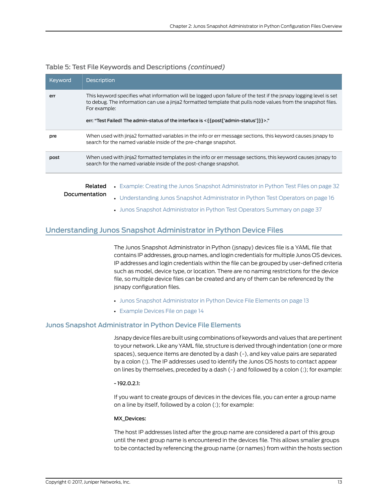| Keyword | <b>Description</b>                                                                                                                                                                                                                                                                                                                             |
|---------|------------------------------------------------------------------------------------------------------------------------------------------------------------------------------------------------------------------------------------------------------------------------------------------------------------------------------------------------|
| err     | This keyword specifies what information will be logged upon failure of the test if the isnapy logging level is set<br>to debug. The information can use a jinja2 formatted template that pulls node values from the snapshot files.<br>For example:<br>err: "Test Failed! The admin-status of the interface is < { {post['admin-status']}} >." |
| pre     | When used with jinja2 formatted variables in the info or err message sections, this keyword causes isnapy to<br>search for the named variable inside of the pre-change snapshot.                                                                                                                                                               |
| post    | When used with jinja2 formatted templates in the info or err message sections, this keyword causes jsnapy to<br>search for the named variable inside of the post-change snapshot.                                                                                                                                                              |
|         | Example: Creating the Junos Snapshot Administrator in Python Test Files on page 32<br>Related                                                                                                                                                                                                                                                  |

#### Table 5: Test File Keywords and Descriptions *(continued)*

- Documentation • [Understanding](#page-29-0) Junos Snapshot Administrator in Python Test Operators on page 16
	- Junos Snapshot [Administrator](#page-50-1) in Python Test Operators Summary on page 37

### <span id="page-26-0"></span>Understanding Junos Snapshot Administrator in Python Device Files

The Junos Snapshot Administrator in Python (jsnapy) devices file is a YAML file that contains IP addresses, group names, and login credentials for multiple Junos OS devices. IP addresses and login credentials within the file can be grouped by user-defined criteria such as model, device type, or location. There are no naming restrictions for the device file, so multiple device files can be created and any of them can be referenced by the jsnapy configuration files.

- Junos Snapshot [Administrator](#page-26-1) in Python Device File Elements on [page](#page-26-1) 13
- [Example](#page-27-0) Devices File on [page](#page-27-0) 14

#### <span id="page-26-1"></span>Junos Snapshot Administrator in Python Device File Elements

Jsnapy device files are built using combinations of keywords and values that are pertinent to your network. Like any YAML file, structure is derived through indentation (one or more spaces), sequence items are denoted by a dash (-), and key value pairs are separated by a colon (:). The IP addresses used to identify the Junos OS hosts to contact appear on lines by themselves, preceded by a dash (-) and followed by a colon (:); for example:

#### - 192.0.2.1:

If you want to create groups of devices in the devices file, you can enter a group name on a line by itself, followed by a colon (:); for example:

#### MX\_Devices:

The host IP addresses listed after the group name are considered a part of this group until the next group name is encountered in the devices file. This allows smaller groups to be contacted by referencing the group name (or names) from within the hosts section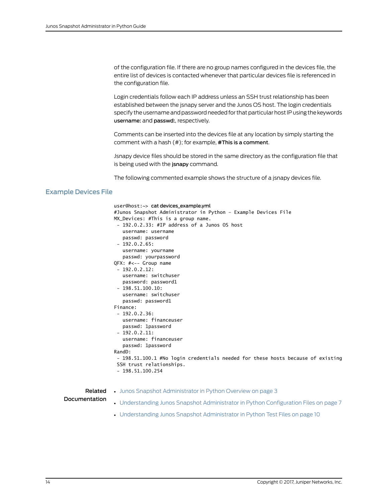of the configuration file. If there are no group names configured in the devices file, the entire list of devices is contacted whenever that particular devices file is referenced in the configuration file.

Login credentials follow each IP address unless an SSH trust relationship has been established between the jsnapy server and the Junos OS host. The login credentials specify the username and password needed for that particular host IP using the keywords username: and passwd:, respectively.

Comments can be inserted into the devices file at any location by simply starting the comment with a hash (#); for example, #This is a comment.

Jsnapy device files should be stored in the same directory as the configuration file that is being used with the jsnapy command.

The following commented example shows the structure of a jsnapy devices file.

## <span id="page-27-0"></span>Example Devices File

|                          | $user@host:\rightarrow cat devices example.vml$<br>#Junos Snapshot Administrator in Python - Example Devices File<br>MX_Devices: #This is a group name.<br>$-192.0.2.33$ : #IP address of a Junos OS host<br>username: username<br>passwd: password<br>$-192.0.2.65:$<br>username: yourname<br>passwd: yourpassword<br>QFX: #<-- Group name<br>$-192.0.2.12:$<br>username: switchuser<br>password: password1<br>$-198.51.100.10:$<br>username: switchuser<br>passwd: password1<br>Finance:<br>$-192.0.2.36:$<br>username: financeuser<br>passwd: 1password<br>$-192.0.2.11$ :<br>username: financeuser<br>passwd: 1password |
|--------------------------|-----------------------------------------------------------------------------------------------------------------------------------------------------------------------------------------------------------------------------------------------------------------------------------------------------------------------------------------------------------------------------------------------------------------------------------------------------------------------------------------------------------------------------------------------------------------------------------------------------------------------------|
|                          | RandD:<br>- 198.51.100.1 #No login credentials needed for these hosts because of existing<br>SSH trust relationships.<br>$-198.51.100.254$                                                                                                                                                                                                                                                                                                                                                                                                                                                                                  |
| Related<br>Documentation | • Junos Snapshot Administrator in Python Overview on page 3<br>• Understanding Junos Snapshot Administrator in Python Configuration Files on page 7                                                                                                                                                                                                                                                                                                                                                                                                                                                                         |

- 
- [Understanding](#page-23-1) Junos Snapshot Administrator in Python Test Files on page 10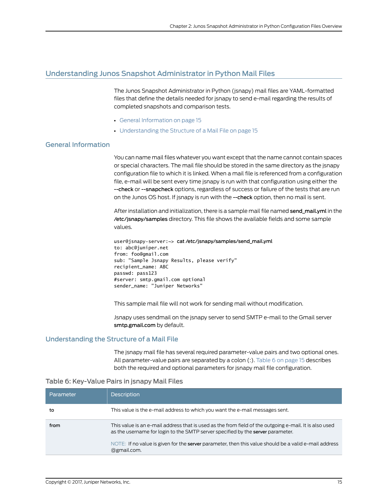## <span id="page-28-0"></span>Understanding Junos Snapshot Administrator in Python Mail Files

The Junos Snapshot Administrator in Python (jsnapy) mail files are YAML-formatted files that define the details needed for jsnapy to send e-mail regarding the results of completed snapshots and comparison tests.

- General [Information](#page-28-1) on [page](#page-28-1) 15
- [Understanding](#page-28-2) the Structure of a Mail File on [page](#page-28-2) 15

## <span id="page-28-1"></span>General Information

You can name mail files whatever you want except that the name cannot contain spaces or special characters. The mail file should be stored in the same directory as the jsnapy configuration file to which it is linked. When a mail file is referenced from a configuration file, e-mail will be sent every time jsnapy is run with that configuration using either the --check or --snapcheck options, regardless of success or failure of the tests that are run on the Junos OS host. If jsnapy is run with the --check option, then no mail is sent.

After installation and initialization, there is a sample mail file named send\_mail.yml in the /etc/jsnapy/samples directory. This file shows the available fields and some sample values.

```
user@jsnapy-server:~> cat /etc/jsnapy/samples/send_mail.yml
to: abc@juniper.net
from: foo@gmail.com
sub: "Sample Jsnapy Results, please verify"
recipient_name: ABC
passwd: pass123
#server: smtp.gmail.com optional
sender_name: "Juniper Networks"
```
This sample mail file will not work for sending mail without modification.

Jsnapy uses sendmail on the jsnapy server to send SMTP e-mail to the Gmail server smtp.gmail.com by default.

#### <span id="page-28-2"></span>Understanding the Structure of a Mail File

<span id="page-28-3"></span>The jsnapy mail file has several required parameter-value pairs and two optional ones. All parameter-value pairs are separated by a colon (:). [Table](#page-28-3) 6 on page 15 describes both the required and optional parameters for jsnapy mail file configuration.

#### Table 6: Key-Value Pairs in jsnapy Mail Files

| Parameter | <b>Description</b>                                                                                                                                                                                                                                                                                                |
|-----------|-------------------------------------------------------------------------------------------------------------------------------------------------------------------------------------------------------------------------------------------------------------------------------------------------------------------|
| to        | This value is the e-mail address to which you want the e-mail messages sent.                                                                                                                                                                                                                                      |
| from      | This value is an e-mail address that is used as the from field of the outgoing e-mail. It is also used<br>as the username for login to the SMTP server specified by the server parameter.<br>NOTE: If no value is given for the server parameter, then this value should be a valid e-mail address<br>@gmail.com. |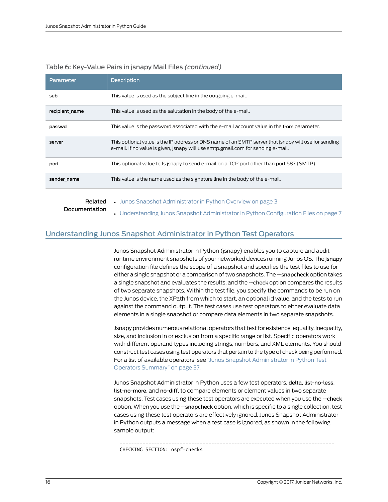| Parameter      | <b>Description</b>                                                                                                                                                                       |
|----------------|------------------------------------------------------------------------------------------------------------------------------------------------------------------------------------------|
| sub            | This value is used as the subject line in the outgoing e-mail.                                                                                                                           |
| recipient name | This value is used as the salutation in the body of the e-mail.                                                                                                                          |
| passwd         | This value is the password associated with the e-mail account value in the from parameter.                                                                                               |
| server         | This optional value is the IP address or DNS name of an SMTP server that isnapy will use for sending<br>e-mail. If no value is given, isnapy will use smtp.gmail.com for sending e-mail. |
| port           | This optional value tells isnapy to send e-mail on a TCP port other than port 587 (SMTP).                                                                                                |
| sender name    | This value is the name used as the signature line in the body of the e-mail.                                                                                                             |
|                |                                                                                                                                                                                          |

#### Table 6: Key-Value Pairs in jsnapy Mail Files *(continued)*

Related

• Junos Snapshot [Administrator](#page-16-1) in Python Overview on page 3

<span id="page-29-0"></span>Documentation

• [Understanding](#page-20-1) Junos Snapshot Administrator in Python Configuration Files on page 7

## Understanding Junos Snapshot Administrator in Python Test Operators

Junos Snapshot Administrator in Python (jsnapy) enables you to capture and audit runtime environment snapshots of your networked devices running Junos OS. The jsnapy configuration file defines the scope of a snapshot and specifies the test files to use for either a single snapshot or a comparison of two snapshots. The --snapcheck option takes a single snapshot and evaluates the results, and the --check option compares the results of two separate snapshots. Within the test file, you specify the commands to be run on the Junos device, the XPath from which to start, an optional id value, and the tests to run against the command output. The test cases use test operators to either evaluate data elements in a single snapshot or compare data elements in two separate snapshots.

Jsnapy provides numerous relational operators that test for existence, equality, inequality, size, and inclusion in or exclusion from a specific range or list. Specific operators work with different operand types including strings, numbers, and XML elements. You should construct test cases using test operators that pertain to the type of check being performed. For a list of available operators, see "Junos Snapshot [Administrator](#page-50-1) in Python Test Operators [Summary"](#page-50-1) on page 37.

Junos Snapshot Administrator in Python uses a few test operators, delta, list-no-less, list-no-more, and no-diff, to compare elements or element values in two separate snapshots. Test cases using these test operators are executed when you use the --check option. When you use the --snapcheck option, which is specific to a single collection, test cases using these test operators are effectively ignored. Junos Snapshot Administrator in Python outputs a message when a test case is ignored, as shown in the following sample output:

 --------------------------------------------------------------------------- CHECKING SECTION: ospf-checks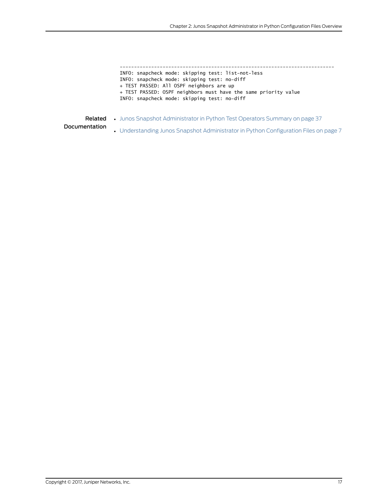--------------------------------------------------------------------------- INFO: snapcheck mode: skipping test: list-not-less INFO: snapcheck mode: skipping test: no-diff + TEST PASSED: All OSPF neighbors are up + TEST PASSED: OSPF neighbors must have the same priority value INFO: snapcheck mode: skipping test: no-diff

Related • Junos Snapshot [Administrator](#page-50-1) in Python Test Operators Summary on page 37

Documentation

• [Understanding](#page-20-1) Junos Snapshot Administrator in Python Configuration Files on page 7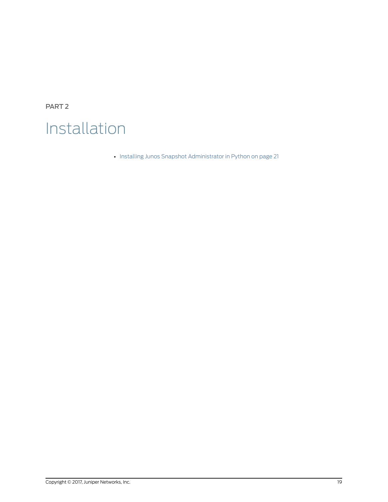<span id="page-32-0"></span>PART 2

## Installation

• Installing Junos Snapshot [Administrator](#page-34-0) in Python on [page](#page-34-0) 21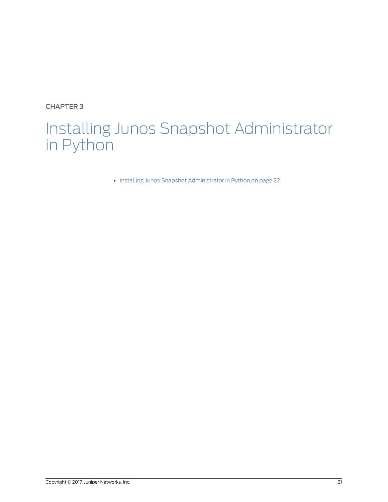<span id="page-34-0"></span>CHAPTER 3

## Installing Junos Snapshot Administrator in Python

• Installing Junos Snapshot [Administrator](#page-35-0) in Python on [page](#page-35-0) 22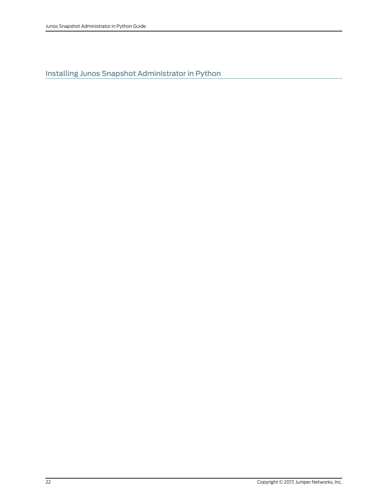<span id="page-35-0"></span>Installing Junos Snapshot Administrator in Python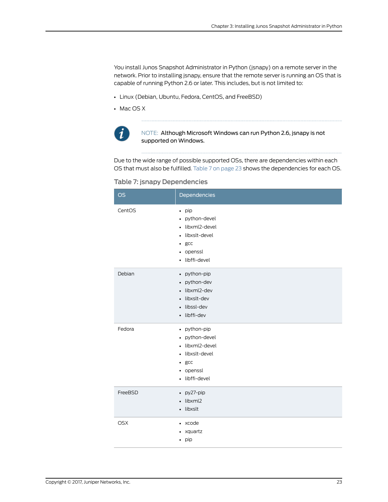You install Junos Snapshot Administrator in Python (jsnapy) on a remote server in the network. Prior to installing jsnapy, ensure that the remote server is running an OS that is capable of running Python 2.6 or later. This includes, but is not limited to:

- Linux (Debian, Ubuntu, Fedora, CentOS, and FreeBSD)
- Mac OS X



NOTE: Although Microsoft Windows can run Python 2.6, jsnapy is not supported on Windows.

<span id="page-36-0"></span>Due to the wide range of possible supported OSs, there are dependencies within each OS that must also be fulfilled. [Table](#page-36-0) 7 on page 23 shows the dependencies for each OS.

|  |  | Table 7: jsnapy Dependencies |  |
|--|--|------------------------------|--|
|  |  |                              |  |

| <b>OS</b>  | Dependencies                                                                                                                                            |
|------------|---------------------------------------------------------------------------------------------------------------------------------------------------------|
| CentOS     | $\bullet$ pip<br>• python-devel<br>libxml2-devel<br>$\bullet$<br>libxslt-devel<br>gcc<br>$\bullet$<br>openssl<br>$\bullet$<br>libffi-devel<br>$\bullet$ |
| Debian     | • python-pip<br>python-dev<br>$\bullet$<br>libxml2-dev<br>$\bullet$<br>libxslt-dev<br>$\bullet$<br>libssl-dev<br>$\bullet$<br>libffi-dev<br>$\bullet$   |
| Fedora     | • python-pip<br>python-devel<br>$\bullet$<br>libxml2-devel<br>$\bullet$<br>libxslt-devel<br>$\bullet$<br>gcc<br>$\bullet$<br>• openssl<br>libffi-devel  |
| FreeBSD    | py27-pip<br>$\bullet$<br>libxml2<br>$\bullet$<br>libxslt<br>$\bullet$                                                                                   |
| <b>OSX</b> | xcode<br>$\bullet$<br>xquartz<br>$\bullet$<br>pip<br>$\bullet$                                                                                          |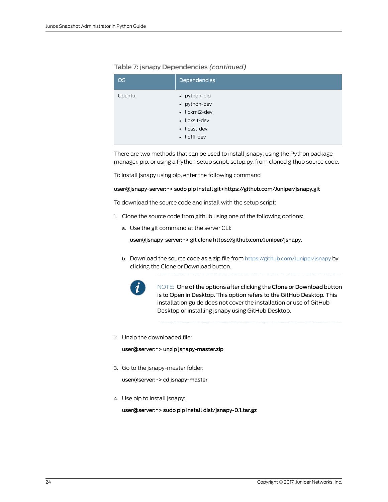| <b>OS</b> | Dependencies                                                                                   |
|-----------|------------------------------------------------------------------------------------------------|
| Ubuntu    | • python-pip<br>• python-dev<br>· libxml2-dev<br>• libxslt-dev<br>• libssl-dev<br>· libffi-dev |

# Table 7: jsnapy Dependencies *(continued)*

There are two methods that can be used to install jsnapy: using the Python package manager, pip, or using a Python setup script, setup.py, from cloned github source code.

To install jsnapy using pip, enter the following command

#### user@jsnapy-server:~> sudo pip install git+https://github.com/Juniper/jsnapy.git

To download the source code and install with the setup script:

- 1. Clone the source code from github using one of the following options:
	- a. Use the git command at the server CLI:

user@jsnapy-server:~> git clone https://github.com/Juniper/jsnapy.

b. Download the source code as a zip file from <https://github.com/Juniper/jsnapy> by clicking the Clone or Download button.



NOTE: One of the options after clicking the Clone or Download button is to Open in Desktop. This option refers to the GitHub Desktop. This installation guide does not cover the installation or use of GitHub Desktop or installing jsnapy using GitHub Desktop.

2. Unzip the downloaded file:

user@server:~> unzip jsnapy-master.zip

3. Go to the jsnapy-master folder:

user@server:~> cd jsnapy-master

4. Use pip to install jsnapy:

user@server:~> sudo pip install dist/jsnapy-0.1.tar.gz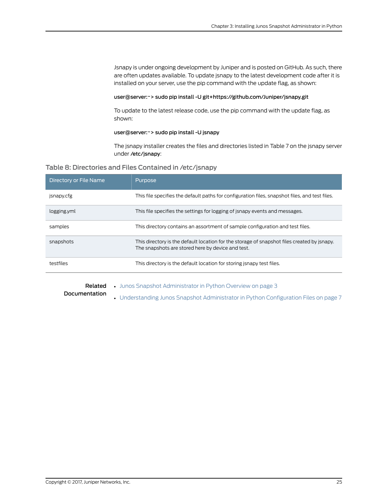Jsnapy is under ongoing development by Juniper and is posted on GitHub. As such, there are often updates available. To update jsnapy to the latest development code after it is installed on your server, use the pip command with the update flag, as shown:

#### user@server:~> sudo pip install -U git+https://github.com/Juniper/jsnapy.git

To update to the latest release code, use the pip command with the update flag, as shown:

#### user@server:~> sudo pip install -U jsnapy

The jsnapy installer creates the files and directories listed in Table 7 on the jsnapy server under /etc/jsnapy:

### Table 8: Directories and Files Contained in /etc/jsnapy

| Directory or File Name | Purpose                                                                                                                                          |
|------------------------|--------------------------------------------------------------------------------------------------------------------------------------------------|
| jsnapy.cfg             | This file specifies the default paths for configuration files, snapshot files, and test files.                                                   |
| logging.yml            | This file specifies the settings for logging of jsnapy events and messages.                                                                      |
| samples                | This directory contains an assortment of sample configuration and test files.                                                                    |
| snapshots              | This directory is the default location for the storage of snapshot files created by jsnapy.<br>The snapshots are stored here by device and test. |
| testfiles              | This directory is the default location for storing isnapy test files.                                                                            |
|                        |                                                                                                                                                  |

- Related • Junos Snapshot [Administrator](#page-16-0) in Python Overview on page 3
- Documentation
- [Understanding](#page-20-0) Junos Snapshot Administrator in Python Configuration Files on page 7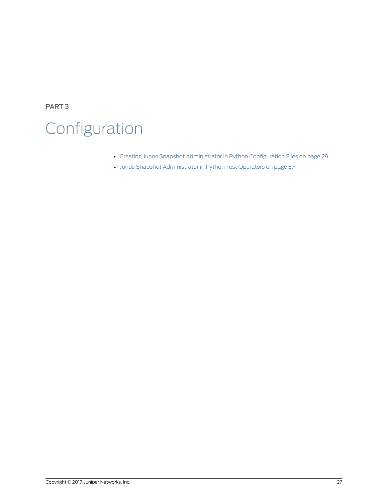PART 3

# Configuration

- Creating Junos Snapshot [Administrator](#page-42-0) in Python Configuration Files on [page](#page-42-0) 29
- Junos Snapshot [Administrator](#page-50-0) in Python Test Operators on [page](#page-50-0) 37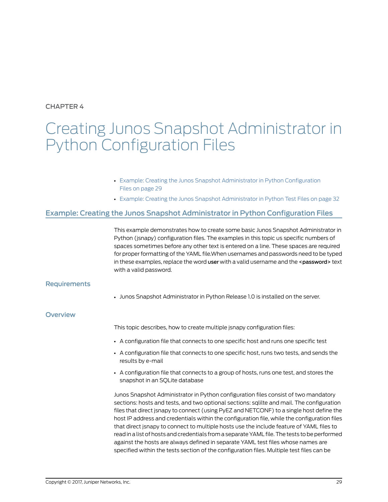<span id="page-42-0"></span>CHAPTER 4

# Creating Junos Snapshot Administrator in Python Configuration Files

- Example: Creating the Junos Snapshot [Administrator](#page-42-1) in Python Configuration Files on [page](#page-42-1) 29
- Example: Creating the Junos Snapshot [Administrator](#page-45-0) in Python Test Files on [page](#page-45-0) 32

# <span id="page-42-1"></span>Example: Creating the Junos Snapshot Administrator in Python Configuration Files

This example demonstrates how to create some basic Junos Snapshot Administrator in Python (jsnapy) configuration files. The examples in this topic us specific numbers of spaces sometimes before any other text is entered on a line. These spaces are required for proper formatting of the YAML file.When usernames and passwords need to be typed in these examples, replace the word user with a valid username and the <password> text with a valid password.

## **Requirements**

• Junos Snapshot Administrator in Python Release 1.0 is installed on the server.

**Overview** 

This topic describes, how to create multiple jsnapy configuration files:

- A configuration file that connects to one specific host and runs one specific test
- A configuration file that connects to one specific host, runs two tests, and sends the results by e-mail
- A configuration file that connects to a group of hosts, runs one test, and stores the snapshot in an SQLite database

Junos Snapshot Administrator in Python configuration files consist of two mandatory sections: hosts and tests, and two optional sections: sqlilte and mail. The configuration files that direct jsnapy to connect (using PyEZ and NETCONF) to a single host define the host IP address and credentials within the configuration file, while the configuration files that direct jsnapy to connect to multiple hosts use the include feature of YAML files to read in a list of hosts and credentials from a separate YAML file. The tests to be performed against the hosts are always defined in separate YAML test files whose names are specified within the tests section of the configuration files. Multiple test files can be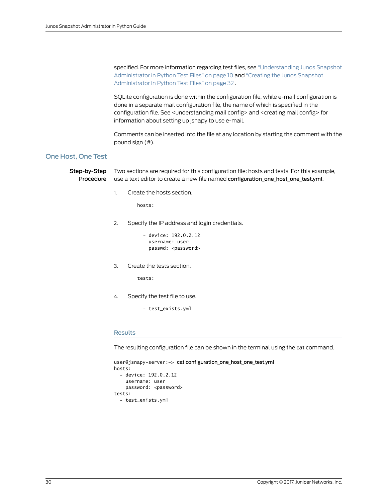specified. For more information regarding test files, see ["Understanding](#page-23-0) Junos Snapshot [Administrator](#page-23-0) in Python Test Files" on page 10 and "Creating the Junos [Snapshot](#page-45-0) [Administrator](#page-45-0) in Python Test Files" on page 32 .

SQLite configuration is done within the configuration file, while e-mail configuration is done in a separate mail configuration file, the name of which is specified in the configuration file. See <understanding mail config> and <creating mail config> for information about setting up jsnapy to use e-mail.

Comments can be inserted into the file at any location by starting the comment with the pound sign (#).

# One Host, One Test

Step-by-Step Procedure Two sections are required for this configuration file: hosts and tests. For this example, use a text editor to create a new file named configuration\_one\_host\_one\_test.yml.

1. Create the hosts section.

hosts:

- 2. Specify the IP address and login credentials.
	- device: 192.0.2.12 username: user passwd: <password>
- 3. Create the tests section.

tests:

4. Specify the test file to use.

- test\_exists.yml

#### Results

The resulting configuration file can be shown in the terminal using the cat command.

```
user@jsnapy-server:~> cat configuration_one_host_one_test.yml
hosts:
   - device: 192.0.2.12
     username: user
    password: <password>
tests:
   - test_exists.yml
```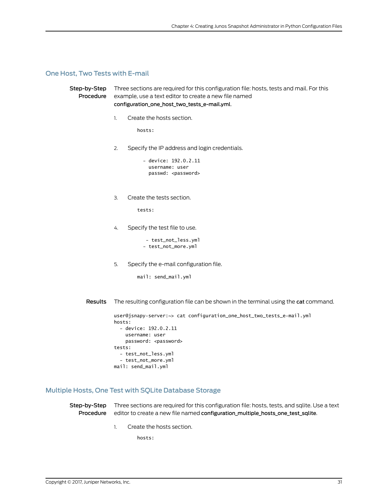#### One Host, Two Tests with E-mail

```
Step-by-Step
   Procedure
                Three sections are required for this configuration file: hosts, tests and mail. For this
                example, use a text editor to create a new file named
                configuration_one_host_two_tests_e-mail.yml.
                1. Create the hosts section.
                         hosts:
                2. Specify the IP address and login credentials.
                            - device: 192.0.2.11
                              username: user
                             passwd: <password>
                3. Create the tests section.
                         tests:
                4. Specify the test file to use.
                             - test_not_less.yml
                            - test_not_more.yml
                5. Specify the e-mail configuration file.
```
mail: send\_mail.yml

Results The resulting configuration file can be shown in the terminal using the cat command.

```
user@jsnapy-server:~> cat configuration_one_host_two_tests_e-mail.yml
hosts:
   - device: 192.0.2.11
     username: user
    password: <password>
tests:
   - test_not_less.yml
   - test_not_more.yml
mail: send_mail.yml
```
# Multiple Hosts, One Test with SQLite Database Storage

**Step-by-Step** Three sections are required for this configuration file: hosts, tests, and sqlite. Use a text Procedure editor to create a new file named configuration\_multiple\_hosts\_one\_test\_sqlite.

1. Create the hosts section.

hosts: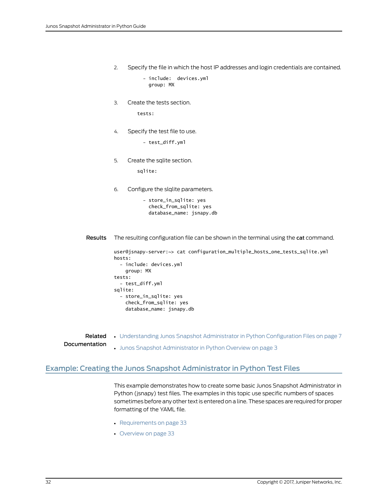2. Specify the file in which the host IP addresses and login credentials are contained.

 - include: devices.yml group: MX

3. Create the tests section.

tests:

4. Specify the test file to use.

- test\_diff.yml

5. Create the sqlite section.

sqlite:

6. Configure the slqlite parameters.

 - store\_in\_sqlite: yes check\_from\_sqlite: yes database\_name: jsnapy.db

Results The resulting configuration file can be shown in the terminal using the cat command.

```
user@jsnapy-server:~> cat configuration_multiple_hosts_one_tests_sqlite.yml
hosts:
   - include: devices.yml
     group: MX
tests:
   - test_diff.yml
sqlite:
   - store_in_sqlite: yes
     check_from_sqlite: yes
     database_name: jsnapy.db
```
<span id="page-45-0"></span>Related Documentation • [Understanding](#page-20-0) Junos Snapshot Administrator in Python Configuration Files on page 7 • Junos Snapshot [Administrator](#page-16-0) in Python Overview on page 3

# Example: Creating the Junos Snapshot Administrator in Python Test Files

This example demonstrates how to create some basic Junos Snapshot Administrator in Python (jsnapy) test files. The examples in this topic use specific numbers of spaces sometimes before any other text is entered on a line.These spaces are required for proper formatting of the YAML file.

- [Requirements](#page-46-0) on [page](#page-46-0) 33
- [Overview](#page-46-1) on [page](#page-46-1) 33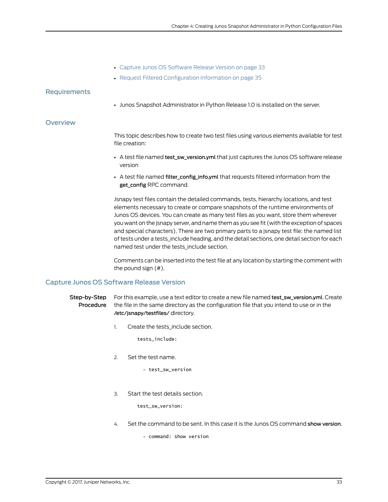- Capture Junos OS [Software](#page-46-2) Release Version on [page](#page-46-2) 33
- Request Filtered [Configuration](#page-48-0) Information on [page](#page-48-0) 35

#### <span id="page-46-0"></span>**Requirements**

• Junos Snapshot Administrator in Python Release 1.0 is installed on the server.

#### <span id="page-46-1"></span>**Overview**

This topic describes how to create two test files using various elements available for test file creation:

- A test file named test\_sw\_version.yml that just captures the Junos OS software release version
- A test file named filter\_config\_info.yml that requests filtered information from the get\_config RPC command.

Jsnapy test files contain the detailed commands, tests, hierarchy locations, and test elements necessary to create or compare snapshots of the runtime environments of Junos OS devices. You can create as many test files as you want, store them wherever you want on the jsnapy server, and name them as you see fit (with the exception of spaces and special characters). There are two primary parts to a jsnapy test file: the named list of tests under a tests\_include heading, and the detail sections, one detail section for each named test under the tests\_include section.

Comments can be inserted into the test file at any location by starting the comment with the pound sign (#).

#### <span id="page-46-2"></span>Capture Junos OS Software Release Version

#### Step-by-Step For this example, use a text editor to create a new file named test\_sw\_version.yml. Create Procedure the file in the same directory as the configuration file that you intend to use or in the /etc/jsnapy/testfiles/ directory.

1. Create the tests\_include section.

tests\_include:

2. Set the test name.

- test\_sw\_version

3. Start the test details section.

test\_sw\_version:

4. Set the command to be sent. In this case it is the Junos OS command show version.

- command: show version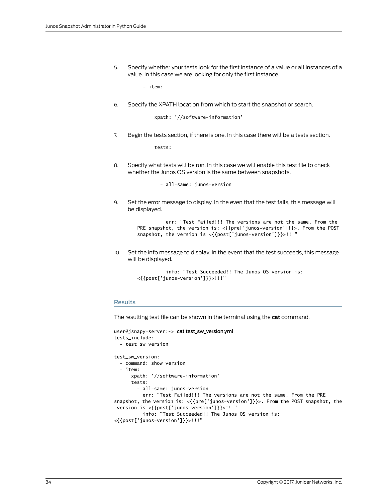5. Specify whether your tests look for the first instance of a value or all instances of a value. In this case we are looking for only the first instance.

- item:

6. Specify the XPATH location from which to start the snapshot or search.

xpath: '//software-information'

7. Begin the tests section, if there is one. In this case there will be a tests section.

tests:

8. Specify what tests will be run. In this case we will enable this test file to check whether the Junos OS version is the same between snapshots.

- all-same: junos-version

9. Set the error message to display. In the even that the test fails, this message will be displayed.

```
 err: "Test Failed!!! The versions are not the same. From the 
PRE snapshot, the version is: <{{pre['junos-version']}}>. From the POST 
snapshot, the version is <{{post['junos-version']}}>!! "
```
10. Set the info message to display. In the event that the test succeeds, this message will be displayed.

```
 info: "Test Succeeded!! The Junos OS version is: 
<{{post['junos-version']}}>!!!"
```
#### Results

The resulting test file can be shown in the terminal using the cat command.

```
user@jsnapy-server:~> cat test_sw_version.yml
tests_include:
   - test_sw_version
test_sw_version:
   - command: show version
   - item:
       xpath: '//software-information'
       tests:
         - all-same: junos-version
           err: "Test Failed!!! The versions are not the same. From the PRE 
snapshot, the version is: <{{pre['junos-version']}}>. From the POST snapshot, the
  version is <{{post['junos-version']}}>!! "
           info: "Test Succeeded!! The Junos OS version is: 
<{{post['junos-version']}}>!!!"
```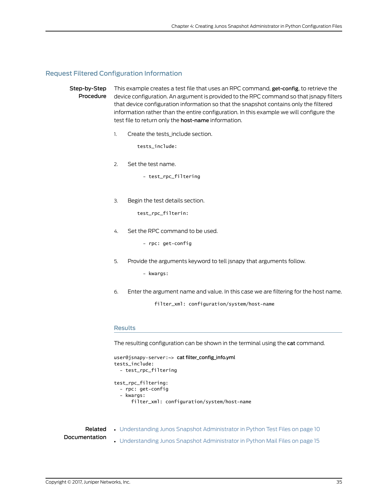#### <span id="page-48-0"></span>Request Filtered Configuration Information

Step-by-Step Procedure This example creates a test file that uses an RPC command, get-config, to retrieve the device configuration. An argument is provided to the RPC command so that jsnapy filters that device configuration information so that the snapshot contains only the filtered information rather than the entire configuration. In this example we will configure the test file to return only the host-name information.

1. Create the tests\_include section.

tests\_include:

- 2. Set the test name.
	- test\_rpc\_filtering
- 3. Begin the test details section.

test\_rpc\_filterin:

4. Set the RPC command to be used.

- rpc: get-config

5. Provide the arguments keyword to tell jsnapy that arguments follow.

- kwargs:

6. Enter the argument name and value. In this case we are filtering for the host name.

filter\_xml: configuration/system/host-name

#### Results

The resulting configuration can be shown in the terminal using the cat command.

```
user@jsnapy-server:~> cat filter_config_info.yml
tests_include:
   - test_rpc_filtering
test_rpc_filtering:
   - rpc: get-config
   - kwargs:
       filter_xml: configuration/system/host-name
```
Related Documentation

- [Understanding](#page-23-0) Junos Snapshot Administrator in Python Test Files on page 10
- [Understanding](#page-28-0) Junos Snapshot Administrator in Python Mail Files on page 15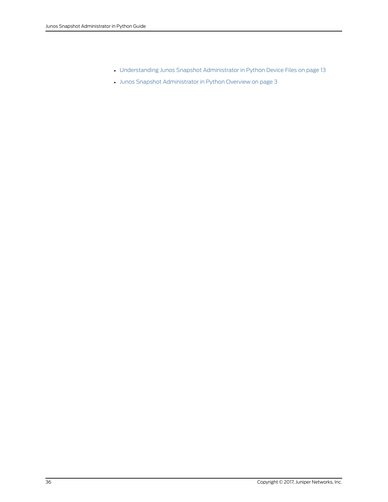- [Understanding](#page-26-0) Junos Snapshot Administrator in Python Device Files on page 13
- Junos Snapshot [Administrator](#page-16-0) in Python Overview on page 3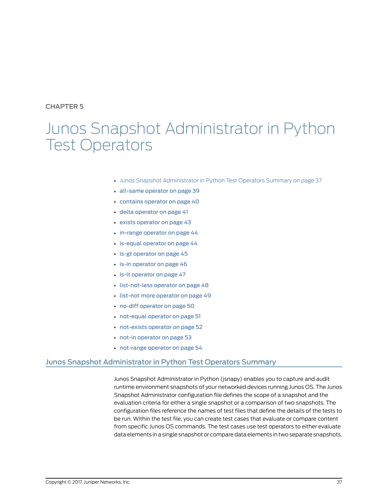# <span id="page-50-0"></span>CHAPTER 5

# Junos Snapshot Administrator in Python Test Operators

- Junos Snapshot [Administrator](#page-50-1) in Python Test Operators Summary on [page](#page-50-1) 37
- [all-same](#page-52-0) operator on [page](#page-52-0) 39
- [contains](#page-53-0) operator on [page](#page-53-0) 40
- delta [operator](#page-54-0) on [page](#page-54-0) 41
- exists [operator](#page-56-0) on [page](#page-56-0) 43
- in-range [operator](#page-57-0) on [page](#page-57-0) 44
- is-equal [operator](#page-57-1) on [page](#page-57-1) 44
- is-gt [operator](#page-58-0) on [page](#page-58-0) 45
- is-in [operator](#page-59-0) on [page](#page-59-0) 46
- is-lt [operator](#page-60-0) on [page](#page-60-0) 47
- [list-not-less](#page-61-0) operator on [page](#page-61-0) 48
- list-not more [operator](#page-62-0) on [page](#page-62-0) 49
- no-diff [operator](#page-63-0) on [page](#page-63-0) 50
- [not-equal](#page-64-0) operator on [page](#page-64-0) 51
- [not-exists](#page-65-0) operator on [page](#page-65-0) 52
- not-in [operator](#page-66-0) on [page](#page-66-0) 53
- [not-range](#page-67-0) operator on [page](#page-67-0) 54

# <span id="page-50-1"></span>Junos Snapshot Administrator in Python Test Operators Summary

Junos Snapshot Administrator in Python (jsnapy) enables you to capture and audit runtime environment snapshots of your networked devices running Junos OS. The Junos Snapshot Administrator configuration file defines the scope of a snapshot and the evaluation criteria for either a single snapshot or a comparison of two snapshots. The configuration files reference the names of test files that define the details of the tests to be run. Within the test file, you can create test cases that evaluate or compare content from specific Junos OS commands. The test cases use test operators to either evaluate data elements in a single snapshot or comparedata elements in two separate snapshots.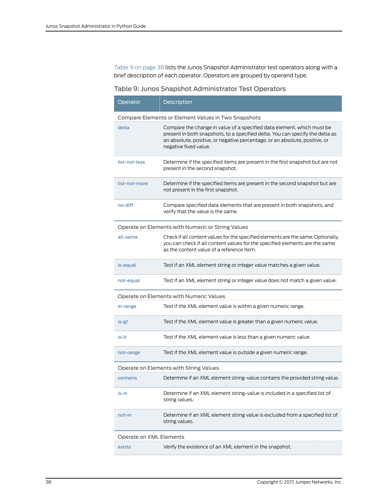[Table](#page-51-0) 9 on page 38 lists the Junos Snapshot Administrator test operators along with a brief description of each operator. Operators are grouped by operand type.

# <span id="page-51-0"></span>Table 9: Junos Snapshot Administrator Test Operators

| Operator                                            | Description                                                                                                                                                                                                                                                     |  |
|-----------------------------------------------------|-----------------------------------------------------------------------------------------------------------------------------------------------------------------------------------------------------------------------------------------------------------------|--|
| Compare Elements or Element Values in Two Snapshots |                                                                                                                                                                                                                                                                 |  |
| delta                                               | Compare the change in value of a specified data element, which must be<br>present in both snapshots, to a specified delta. You can specify the delta as<br>an absolute, positive, or negative percentage, or an absolute, positive, or<br>negative fixed value. |  |
| list-not-less                                       | Determine if the specified items are present in the first snapshot but are not<br>present in the second snapshot.                                                                                                                                               |  |
| list-not-more                                       | Determine if the specified items are present in the second snapshot but are<br>not present in the first snapshot.                                                                                                                                               |  |
| no-diff                                             | Compare specified data elements that are present in both snapshots, and<br>verify that the value is the same.                                                                                                                                                   |  |
|                                                     | Operate on Elements with Numeric or String Values                                                                                                                                                                                                               |  |
| all-same                                            | Check if all content values for the specified elements are the same. Optionally,<br>you can check if all content values for the specified elements are the same<br>as the content value of a reference item.                                                    |  |
| is-equal                                            | Test if an XML element string or integer value matches a given value.                                                                                                                                                                                           |  |
| not-equal                                           | Test if an XML element string or integer value does not match a given value.                                                                                                                                                                                    |  |
|                                                     | Operate on Elements with Numeric Values                                                                                                                                                                                                                         |  |
| in-range                                            | Test if the XML element value is within a given numeric range.                                                                                                                                                                                                  |  |
| is-gt                                               | Test if the XML element value is greater than a given numeric value.                                                                                                                                                                                            |  |
| is-lt                                               | Test if the XML element value is less than a given numeric value.                                                                                                                                                                                               |  |
| not-range                                           | Test if the XML element value is outside a given numeric range.                                                                                                                                                                                                 |  |
| Operate on Elements with String Values              |                                                                                                                                                                                                                                                                 |  |
| contains                                            | Determine if an XML element string-value contains the provided string value.                                                                                                                                                                                    |  |
| is-in                                               | Determine if an XML element string-value is included in a specified list of<br>string values.                                                                                                                                                                   |  |
| not-in                                              | Determine if an XML element string value is excluded from a specified list of<br>string values.                                                                                                                                                                 |  |
| Operate on XML Elements                             |                                                                                                                                                                                                                                                                 |  |
| exists                                              | Verify the existence of an XML element in the snapshot.                                                                                                                                                                                                         |  |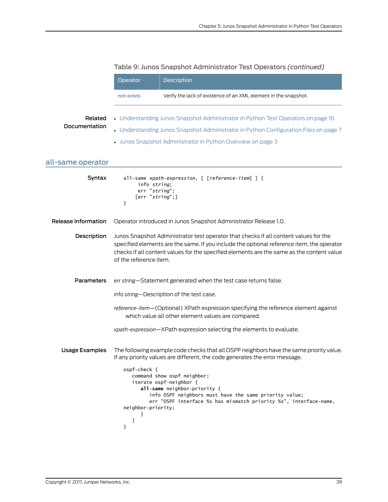<span id="page-52-0"></span>

|                          | Operator                                              | Description                                                                                                                                                                                                                                                                                                                                                                                     |
|--------------------------|-------------------------------------------------------|-------------------------------------------------------------------------------------------------------------------------------------------------------------------------------------------------------------------------------------------------------------------------------------------------------------------------------------------------------------------------------------------------|
|                          | not-exists                                            | Verify the lack of existence of an XML element in the snapshot.                                                                                                                                                                                                                                                                                                                                 |
| Related<br>Documentation |                                                       | • Understanding Junos Snapshot Administrator in Python Test Operators on page 16<br>• Understanding Junos Snapshot Administrator in Python Configuration Files on page 7<br>• Junos Snapshot Administrator in Python Overview on page 3                                                                                                                                                         |
| all-same operator        |                                                       |                                                                                                                                                                                                                                                                                                                                                                                                 |
| Syntax                   | info string;<br>err "string";<br>[err "string";]<br>} | all-same xpath-expression, [ [reference-item] ] {                                                                                                                                                                                                                                                                                                                                               |
| Release Information      |                                                       | Operator introduced in Junos Snapshot Administrator Release 1.0.                                                                                                                                                                                                                                                                                                                                |
| Description              | of the reference item.                                | Junos Snapshot Administrator test operator that checks if all content values for the<br>specified elements are the same. If you include the optional reference item, the operator<br>checks if all content values for the specified elements are the same as the content value                                                                                                                  |
| <b>Parameters</b>        |                                                       | err string-Statement generated when the test case returns false.                                                                                                                                                                                                                                                                                                                                |
|                          |                                                       | info string-Description of the test case.                                                                                                                                                                                                                                                                                                                                                       |
|                          |                                                       | reference-item-(Optional) XPath expression specifying the reference element against<br>which value all other element values are compared.                                                                                                                                                                                                                                                       |
|                          |                                                       | xpath-expression-XPath expression selecting the elements to evaluate.                                                                                                                                                                                                                                                                                                                           |
| <b>Usage Examples</b>    | ospf-check {<br>neighbor-priority;<br>}<br>}          | The following example code checks that all OSPF neighbors have the same priority value.<br>If any priority values are different, the code generates the error message.<br>command show ospf neighbor;<br>iterate ospf-neighbor {<br>all-same neighbor-priority {<br>info OSPF neighbors must have the same priority value;<br>err "OSPF interface %s has mismatch priority %s", interface-name, |

# Table 9: Junos Snapshot Administrator Test Operators *(continued)*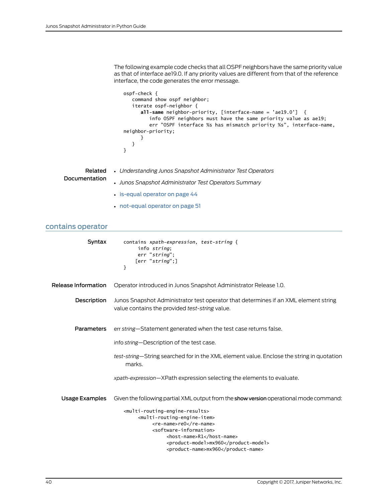The following example code checks that all OSPF neighbors have the same priority value as that of interface ae19.0. If any priority values are different from that of the reference interface, the code generates the error message.

```
ospf-check {
    command show ospf neighbor;
    iterate ospf-neighbor {
      all-same neighbor-priority, [interface-name = 'ae19.0'] {
          info OSPF neighbors must have the same priority value as ae19;
          err "OSPF interface %s has mismatch priority %s", interface-name, 
neighbor-priority;
      }
    }
}
```

|               | <b>Related</b> • Understanding Junos Snapshot Administrator Test Operators |
|---------------|----------------------------------------------------------------------------|
| Documentation | • Junos Snapshot Administrator Test Operators Summary                      |
|               | $\cdot$ is-equal operator on page 44                                       |

• [not-equal](#page-64-0) operator on page 51

# <span id="page-53-0"></span>contains operator

| Syntax                | contains xpath-expression, test-string {<br>info string;<br>err "string":<br>[err "string";]<br>ł                                     |
|-----------------------|---------------------------------------------------------------------------------------------------------------------------------------|
| Release Information   | Operator introduced in Junos Snapshot Administrator Release 1.0.                                                                      |
| Description           | Junos Snapshot Administrator test operator that determines if an XML element string<br>value contains the provided test-string value. |
| <b>Parameters</b>     | err string-Statement generated when the test case returns false.                                                                      |
|                       | info string-Description of the test case.                                                                                             |
|                       | test-string—String searched for in the XML element value. Enclose the string in quotation<br>marks.                                   |
|                       | xpath-expression-XPath expression selecting the elements to evaluate.                                                                 |
| <b>Usage Examples</b> | Given the following partial XML output from the show version operational mode command:                                                |
|                       | <multi-routing-engine-results></multi-routing-engine-results>                                                                         |
|                       | <multi-routing-engine-item></multi-routing-engine-item>                                                                               |
|                       | <re-name>re0</re-name><br><software-information></software-information>                                                               |
|                       | <host-name>R1</host-name>                                                                                                             |
|                       | <product-model>mx960</product-model>                                                                                                  |
|                       | <product-name>mx960</product-name>                                                                                                    |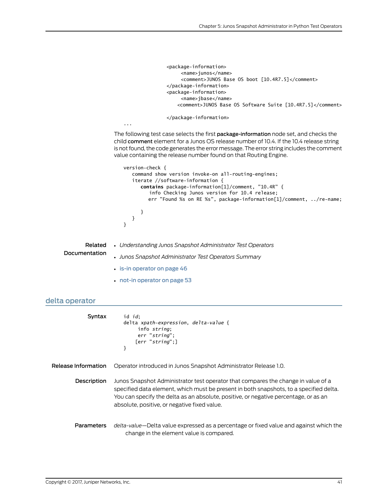```
 <package-information>
                                            <name>junos</name>
                                            <comment>JUNOS Base OS boot [10.4R7.5]</comment>
                                       </package-information>
                                       <package-information>
                                            <name>jbase</name>
                                           <comment>JUNOS Base OS Software Suite [10.4R7.5]</comment>
                                       </package-information>
                      ...
                  The following test case selects the first package-information node set, and checks the
                  child comment element for a Junos OS release number of 10.4. If the 10.4 release string
                  is not found, the code generates the error message. The error string includes the comment
                  value containing the release number found on that Routing Engine.
                      version-check {
                          command show version invoke-on all-routing-engines;
                          iterate //software-information {
                            contains package-information[1]/comment, "10.4R" {
                                info Checking Junos version for 10.4 release;
                                err "Found %s on RE %s", package-information[1]/comment, ../re-name;
                             }
                          }
                      }
        Related
Documentation
                  • Understanding Junos Snapshot Administrator Test Operators
                  • Junos Snapshot Administrator Test Operators Summary
                  • is-in operator on page 46
                  • not-in operator on page 53
```
## <span id="page-54-0"></span>delta operator

| Syntax              | id <i>id</i> :<br>delta xpath-expression, delta-value {<br>info string:<br>err "string":<br>[err "string":]<br>}                                                                                                                                                                                                    |
|---------------------|---------------------------------------------------------------------------------------------------------------------------------------------------------------------------------------------------------------------------------------------------------------------------------------------------------------------|
| Release Information | Operator introduced in Junos Snapshot Administrator Release 1.0.                                                                                                                                                                                                                                                    |
| Description         | Junos Snapshot Administrator test operator that compares the change in value of a<br>specified data element, which must be present in both snapshots, to a specified delta.<br>You can specify the delta as an absolute, positive, or negative percentage, or as an<br>absolute, positive, or negative fixed value. |
| <b>Parameters</b>   | delta-value—Delta value expressed as a percentage or fixed value and against which the<br>change in the element value is compared.                                                                                                                                                                                  |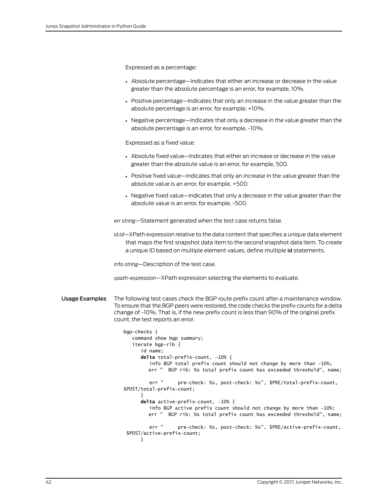Expressed as a percentage:

- Absolute percentage—Indicates that either an increase or decrease in the value greater than the absolute percentage is an error, for example, 10%.
- Positive percentage—Indicates that only an increase in the value greater than the absolute percentage is an error, for example, +10%.
- Negative percentage—Indicates that only a decrease in the value greater than the absolute percentage is an error, for example, -10%.

Expressed as a fixed value:

- Absolute fixed value—Indicates that either an increase or decrease in the value greater than the absolute value is an error, for example, 500.
- Positive fixed value—Indicates that only an increase in the value greater than the absolute value is an error, for example, +500.
- Negative fixed value—Indicates that only a decrease in the value greater than the absolute value is an error, for example, -500.

err *string*—Statement generated when the test case returns false.

id *id*—XPath expression relative to the data content that specifies a unique data element that maps the first snapshot data item to the second snapshot data item. To create a unique ID based on multiple element values, define multiple id statements.

info *string*—Description of the test case.

*xpath-expression*—XPath expression selecting the elements to evaluate.

Usage Examples The following test cases check the BGP route prefix count after a maintenance window. To ensure that the BGP peers were restored, the code checks the prefix counts for a delta change of -10%. That is, if the new prefix count is less than 90% of the original prefix count, the test reports an error.

```
bgp-checks {
    command show bgp summary;
    iterate bgp-rib {
       id name;
      delta total-prefix-count, -10% {
          info BGP total prefix count should not change by more than -10%;
          err " BGP rib: %s total prefix count has exceeded threshold", name;
          err " pre-check: %s, post-check: %s", $PRE/total-prefix-count, 
$POST/total-prefix-count;
       }
      delta active-prefix-count, -10% {
          info BGP active prefix count should not change by more than -10%;
          err " BGP rib: %s total prefix count has exceeded threshold", name;
          err " pre-check: %s, post-check: %s", $PRE/active-prefix-count,
  $POST/active-prefix-count; 
       }
```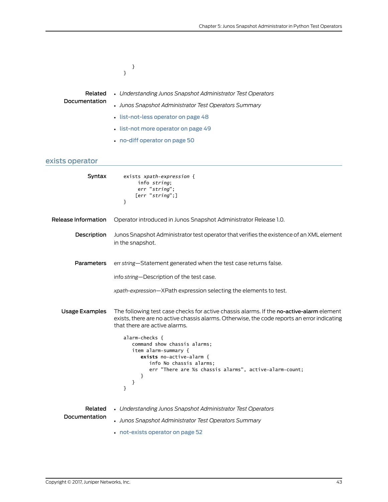<span id="page-56-0"></span>

|                          | }<br>}                                                                                                                                                                                                                   |
|--------------------------|--------------------------------------------------------------------------------------------------------------------------------------------------------------------------------------------------------------------------|
|                          |                                                                                                                                                                                                                          |
| Related<br>Documentation | • Understanding Junos Snapshot Administrator Test Operators                                                                                                                                                              |
|                          | • Junos Snapshot Administrator Test Operators Summary                                                                                                                                                                    |
|                          | · list-not-less operator on page 48                                                                                                                                                                                      |
|                          | · list-not more operator on page 49                                                                                                                                                                                      |
|                          | • no-diff operator on page 50                                                                                                                                                                                            |
| exists operator          |                                                                                                                                                                                                                          |
| Syntax                   | exists xpath-expression {<br>info string;<br>err "string";<br>[err "string";]<br>}                                                                                                                                       |
| Release Information      | Operator introduced in Junos Snapshot Administrator Release 1.0.                                                                                                                                                         |
| Description              | Junos Snapshot Administrator test operator that verifies the existence of an XML element<br>in the snapshot.                                                                                                             |
| Parameters               | err string-Statement generated when the test case returns false.                                                                                                                                                         |
|                          | info string-Description of the test case.                                                                                                                                                                                |
|                          | xpath-expression-XPath expression selecting the elements to test.                                                                                                                                                        |
| <b>Usage Examples</b>    | The following test case checks for active chassis alarms. If the no-active-alarm element<br>exists, there are no active chassis alarms. Otherwise, the code reports an error indicating<br>that there are active alarms. |
|                          | alarm-checks {<br>command show chassis alarms;<br>item alarm-summary {<br>exists no-active-alarm {<br>info No chassis alarms;<br>err "There are %s chassis alarms", active-alarm-count;<br>ł<br>}<br>}                   |
| Related<br>Documentation | • Understanding Junos Snapshot Administrator Test Operators                                                                                                                                                              |
|                          | • Junos Snapshot Administrator Test Operators Summary                                                                                                                                                                    |
|                          | • not-exists operator on page 52                                                                                                                                                                                         |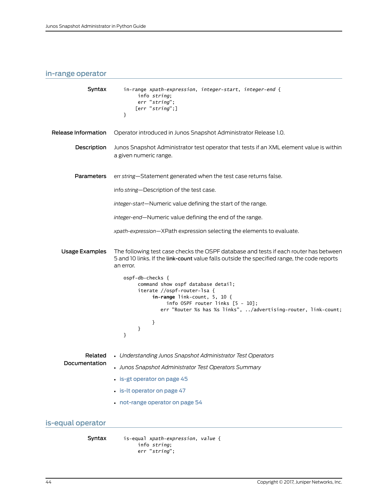# <span id="page-57-0"></span>in-range operator

<span id="page-57-1"></span>

| Syntax                | in-range xpath-expression, integer-start, integer-end {<br>info string:<br>err "string";<br>[err "string";]<br>}                                                                                                                 |
|-----------------------|----------------------------------------------------------------------------------------------------------------------------------------------------------------------------------------------------------------------------------|
| Release Information   | Operator introduced in Junos Snapshot Administrator Release 1.0.                                                                                                                                                                 |
| Description           | Junos Snapshot Administrator test operator that tests if an XML element value is within<br>a given numeric range.                                                                                                                |
| Parameters            | err string-Statement generated when the test case returns false.                                                                                                                                                                 |
|                       | info string-Description of the test case.                                                                                                                                                                                        |
|                       | integer-start-Numeric value defining the start of the range.                                                                                                                                                                     |
|                       | integer-end-Numeric value defining the end of the range.                                                                                                                                                                         |
|                       | xpath-expression-XPath expression selecting the elements to evaluate.                                                                                                                                                            |
| <b>Usage Examples</b> | The following test case checks the OSPF database and tests if each router has between<br>5 and 10 links. If the link-count value falls outside the specified range, the code reports<br>an error.                                |
|                       | ospf-db-checks {<br>command show ospf database detail;<br>iterate //ospf-router-lsa {<br>in-range link-count, $5, 10$ {<br>info OSPF router links $[5 - 10]$ ;<br>err "Router %s has %s links", /advertising-router, link-count; |
|                       | }<br>}<br>}                                                                                                                                                                                                                      |
| Related               | • Understanding Junos Snapshot Administrator Test Operators                                                                                                                                                                      |
| Documentation         | • Junos Snapshot Administrator Test Operators Summary                                                                                                                                                                            |
|                       | • is-gt operator on page 45                                                                                                                                                                                                      |
|                       | · is-It operator on page 47                                                                                                                                                                                                      |
|                       | • not-range operator on page 54                                                                                                                                                                                                  |
| is-equal operator     |                                                                                                                                                                                                                                  |
| Syntax                | is-equal xpath-expression, value {<br>info string;<br>err "string";                                                                                                                                                              |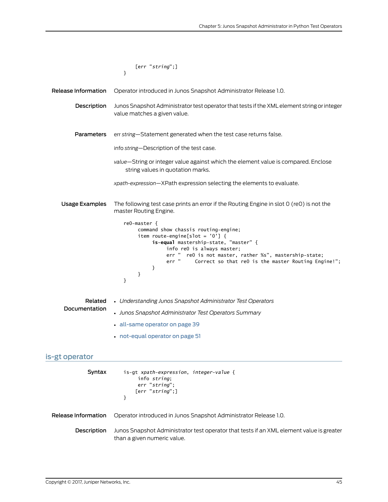<span id="page-58-0"></span>

|                       | [err "string";]<br>ł                                                                                                                                                                                                                                                                                       |
|-----------------------|------------------------------------------------------------------------------------------------------------------------------------------------------------------------------------------------------------------------------------------------------------------------------------------------------------|
| Release Information   |                                                                                                                                                                                                                                                                                                            |
|                       | Operator introduced in Junos Snapshot Administrator Release 1.0.                                                                                                                                                                                                                                           |
| Description           | Junos Snapshot Administrator test operator that tests if the XML element string or integer<br>value matches a given value.                                                                                                                                                                                 |
| <b>Parameters</b>     | err string-Statement generated when the test case returns false.                                                                                                                                                                                                                                           |
|                       | info string-Description of the test case.                                                                                                                                                                                                                                                                  |
|                       | value—String or integer value against which the element value is compared. Enclose<br>string values in quotation marks.                                                                                                                                                                                    |
|                       | xpath-expression-XPath expression selecting the elements to evaluate.                                                                                                                                                                                                                                      |
| <b>Usage Examples</b> | The following test case prints an error if the Routing Engine in slot 0 (re0) is not the<br>master Routing Engine.                                                                                                                                                                                         |
|                       | reO-master {<br>command show chassis routing-engine;<br>item route-engine[slot = $'0'$ ] {<br>is-equal mastership-state, "master" {<br>info reO is always master;<br>err " reO is not master, rather %s", mastership-state;<br>Correct so that re0 is the master Routing Engine!";<br>err "<br>}<br>}<br>ł |
| Related               | • Understanding Junos Snapshot Administrator Test Operators                                                                                                                                                                                                                                                |
| Documentation         | • Junos Snapshot Administrator Test Operators Summary                                                                                                                                                                                                                                                      |
|                       | all-same operator on page 39                                                                                                                                                                                                                                                                               |
|                       | • not-equal operator on page 51                                                                                                                                                                                                                                                                            |
| is-gt operator        |                                                                                                                                                                                                                                                                                                            |
| Syntax                | is-gt xpath-expression, integer-value {<br>info string;<br>err "string";<br>[err "string";]<br>ł                                                                                                                                                                                                           |
| Release Information   | Operator introduced in Junos Snapshot Administrator Release 1.0.                                                                                                                                                                                                                                           |
| Description           | Junos Snapshot Administrator test operator that tests if an XML element value is greater<br>than a given numeric value.                                                                                                                                                                                    |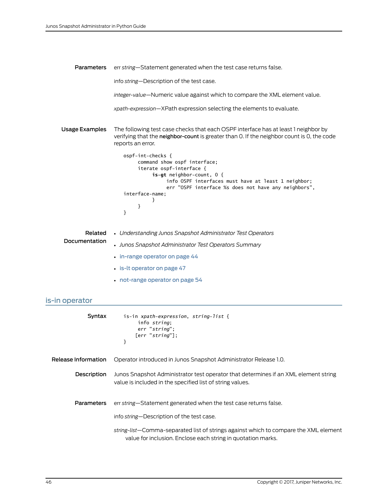Parameters err *string*—Statement generated when the test case returns false. info *string*—Description of the test case. *integer-value*—Numeric value against which to compare the XML element value. *xpath-expression*—XPath expression selecting the elements to evaluate. Usage Examples The following test case checks that each OSPF interface has at least 1 neighbor by verifying that the neighbor-count is greater than 0. If the neighbor count is 0, the code reports an error. ospf-int-checks { command show ospf interface; iterate ospf-interface { **is-gt** neighbor-count, 0 { info OSPF interfaces must have at least 1 neighbor; err "OSPF interface %s does not have any neighbors", interface-name; } } } Related • *Understanding Junos Snapshot Administrator Test Operators*

| newcu         | <b>• Understanding Johns Johnson Of Administrator Fest Operators</b> |
|---------------|----------------------------------------------------------------------|
| Documentation | • Junos Snapshot Administrator Test Operators Summary                |
|               | $\cdot$ in-range operator on page 44                                 |
|               | $\cdot$ is-It operator on page 47                                    |
|               |                                                                      |

• [not-range](#page-67-0) operator on page 54

# <span id="page-59-0"></span>is-in operator

| Syntax              | is-in xpath-expression, string-list {<br>info string:<br>err "string";<br>[err "string"];<br>ł                                                       |
|---------------------|------------------------------------------------------------------------------------------------------------------------------------------------------|
| Release Information | Operator introduced in Junos Snapshot Administrator Release 1.0.                                                                                     |
| Description         | Junos Snapshot Administrator test operator that determines if an XML element string<br>value is included in the specified list of string values.     |
| <b>Parameters</b>   | err string—Statement generated when the test case returns false.                                                                                     |
|                     | info string—Description of the test case.                                                                                                            |
|                     | string-list-Comma-separated list of strings against which to compare the XML element<br>value for inclusion. Enclose each string in quotation marks. |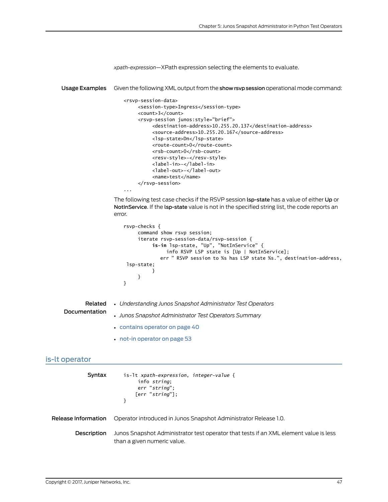|                | xpath-expression-XPath expression selecting the elements to evaluate.                                                                                                                                                                                                                                                                                                                                                                                                                           |
|----------------|-------------------------------------------------------------------------------------------------------------------------------------------------------------------------------------------------------------------------------------------------------------------------------------------------------------------------------------------------------------------------------------------------------------------------------------------------------------------------------------------------|
| Usage Examples | Given the following XML output from the show rsvp session operational mode command:                                                                                                                                                                                                                                                                                                                                                                                                             |
|                | <rsvp-session-data><br/><session-type>Ingress</session-type><br/><count>3</count><br/><rsvp-session junos:style="brief"><br/><destination-address>10.255.20.137</destination-address><br/><source-address>10.255.20.167</source-address><br/><lsp-state>Dn</lsp-state><br/><route-count>0</route-count><br/><rsb-count>0</rsb-count><br/><resv-style>-</resv-style><br/><label-in>-</label-in><br/><label-out>-</label-out><br/><name>test</name><br/></rsvp-session><br/>.</rsvp-session-data> |
|                | The following test case checks if the RSVP session lsp-state has a value of either Up or<br>NotinService. If the Isp-state value is not in the specified string list, the code reports an<br>error.                                                                                                                                                                                                                                                                                             |
|                | nous chaolic f                                                                                                                                                                                                                                                                                                                                                                                                                                                                                  |

```
rsvp-checks {
     command show rsvp session;
      iterate rsvp-session-data/rsvp-session {
         is-in lsp-state, "Up", "NotInService" {
                info RSVP LSP state is [Up | NotInService];
              err " RSVP session to %s has LSP state %s.", destination-address,
  lsp-state;
 }
     }
}
```

```
Related
          • Understanding Junos Snapshot Administrator Test Operators
```

```
Documentation
```
- *Junos Snapshot Administrator Test Operators Summary*
- [contains](#page-53-0) operator on page 40
- not-in [operator](#page-66-0) on page 53

```
is-lt operator
```

| Syntax              | is-1t xpath-expression, integer-value {<br>info string:<br>err "string":<br>[err "string"];                          |
|---------------------|----------------------------------------------------------------------------------------------------------------------|
| Release Information | Operator introduced in Junos Snapshot Administrator Release 1.0.                                                     |
| <b>Description</b>  | Junos Snapshot Administrator test operator that tests if an XML element value is less<br>than a given numeric value. |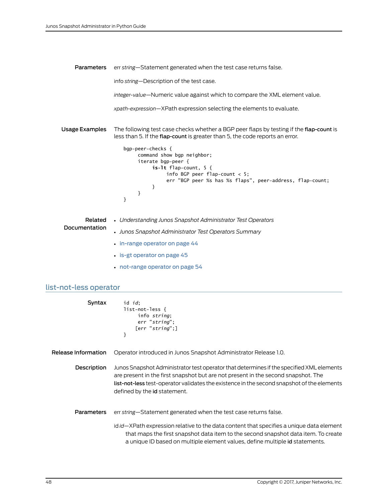Parameters err *string*—Statement generated when the test case returns false. info *string*—Description of the test case. *integer-value*—Numeric value against which to compare the XML element value. *xpath-expression*—XPath expression selecting the elements to evaluate. Usage Examples The following test case checks whether a BGP peer flaps by testing if the flap-count is less than 5. If the flap-count is greater than 5, the code reports an error. bgp-peer-checks { command show bgp neighbor; iterate bgp-peer { **is-lt** flap-count, 5 { info BGP peer flap-count < 5; err "BGP peer %s has %s flaps", peer-address, flap-count; } } }

- Related • *Understanding Junos Snapshot Administrator Test Operators*
- Documentation
- *Junos Snapshot Administrator Test Operators Summary*
- in-range [operator](#page-57-0) on page 44
- is-gt [operator](#page-58-0) on page 45
- [not-range](#page-67-0) operator on page 54

## <span id="page-61-0"></span>list-not-less operator

| Syntax              | id <i>id</i> :<br>list-not-less {<br>info string;<br>err "string";<br>[err "string";]<br>}                                                                                                                                                                                                                  |
|---------------------|-------------------------------------------------------------------------------------------------------------------------------------------------------------------------------------------------------------------------------------------------------------------------------------------------------------|
| Release Information | Operator introduced in Junos Snapshot Administrator Release 1.0.                                                                                                                                                                                                                                            |
| Description         | Junos Snapshot Administrator test operator that determines if the specified XML elements<br>are present in the first snapshot but are not present in the second snapshot. The<br>list-not-less test-operator validates the existence in the second snapshot of the elements<br>defined by the id statement. |
| <b>Parameters</b>   | err string—Statement generated when the test case returns false.                                                                                                                                                                                                                                            |
|                     | id id—XPath expression relative to the data content that specifies a unique data element<br>that maps the first snapshot data item to the second snapshot data item. To create<br>a unique ID based on multiple element values, define multiple id statements.                                              |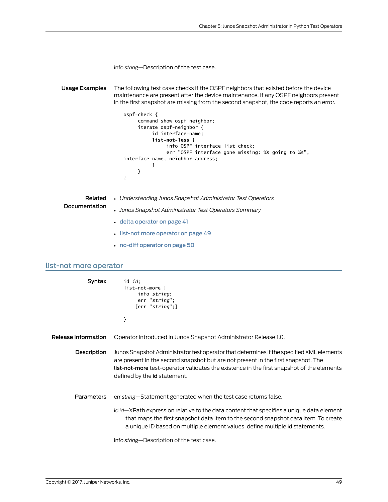| info string-Description of the test case. |  |
|-------------------------------------------|--|
|-------------------------------------------|--|

Usage Examples The following test case checks if the OSPF neighbors that existed before the device maintenance are present after the device maintenance. If any OSPF neighbors present in the first snapshot are missing from the second snapshot, the code reports an error.

```
ospf-check {
      command show ospf neighbor;
      iterate ospf-neighbor {
           id interface-name;
          list-not-less {
                info OSPF interface list check;
                err "OSPF interface gone missing: %s going to %s", 
interface-name, neighbor-address;
           }
      }
}
```
- Related • *Understanding Junos Snapshot Administrator Test Operators*
- Documentation
- *Junos Snapshot Administrator Test Operators Summary*
- delta [operator](#page-54-0) on page 41
- list-not more [operator](#page-62-0) on page 49
- no-diff [operator](#page-63-0) on page 50

#### <span id="page-62-0"></span>list-not more operator

| Syntax              | id <i>id</i> ;<br>$list-not-more$ {<br>info string;<br>err "string";<br>[err "string";]<br>}                                                                                                                                                                                                                      |
|---------------------|-------------------------------------------------------------------------------------------------------------------------------------------------------------------------------------------------------------------------------------------------------------------------------------------------------------------|
| Release Information | Operator introduced in Junos Snapshot Administrator Release 1.0.                                                                                                                                                                                                                                                  |
| Description         | Junos Snapshot Administrator test operator that determines if the specified XML elements<br>are present in the second snapshot but are not present in the first snapshot. The<br><b>list-not-more</b> test-operator validates the existence in the first snapshot of the elements<br>defined by the id statement. |
| <b>Parameters</b>   | err string—Statement generated when the test case returns false.                                                                                                                                                                                                                                                  |
|                     | id id—XPath expression relative to the data content that specifies a unique data element<br>that maps the first snapshot data item to the second snapshot data item. To create<br>a unique ID based on multiple element values, define multiple id statements.                                                    |
|                     | info string-Description of the test case.                                                                                                                                                                                                                                                                         |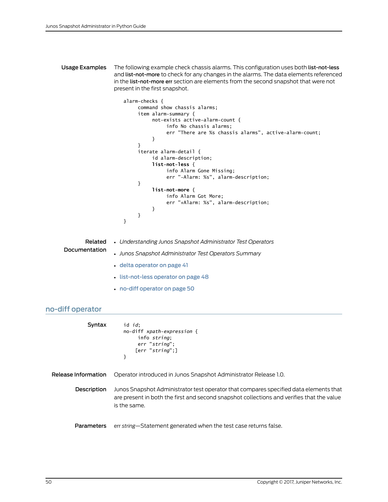Usage Examples The following example check chassis alarms. This configuration uses both list-not-less and list-not-more to check for any changes in the alarms. The data elements referenced in the list-not-more err section are elements from the second snapshot that were not present in the first snapshot.

```
alarm-checks {
      command show chassis alarms;
      item alarm-summary {
           not-exists active-alarm-count {
                info No chassis alarms;
                 err "There are %s chassis alarms", active-alarm-count;
           }
      }
      iterate alarm-detail {
           id alarm-description;
          list-not-less {
                 info Alarm Gone Missing;
                 err "-Alarm: %s", alarm-description;
      }
          list-not-more {
                 info Alarm Got More;
                 err "+Alarm: %s", alarm-description;
           }
      }
}
```

|               | <b>Related</b> • Understanding Junos Snapshot Administrator Test Operators |
|---------------|----------------------------------------------------------------------------|
| Documentation | • Junos Snapshot Administrator Test Operators Summary                      |
|               | · delta operator on page 41                                                |
|               |                                                                            |

- [list-not-less](#page-61-0) operator on page 48
- no-diff [operator](#page-63-0) on page 50

# <span id="page-63-0"></span>no-diff operator

Related

| Syntax              | id <i>id</i> :<br>no-diff $xpath-expression$ {<br>info string:<br>err "string":<br>[err "string":]<br>}                                                                                            |
|---------------------|----------------------------------------------------------------------------------------------------------------------------------------------------------------------------------------------------|
| Release Information | Operator introduced in Junos Snapshot Administrator Release 1.0.                                                                                                                                   |
| Description         | Junos Snapshot Administrator test operator that compares specified data elements that<br>are present in both the first and second snapshot collections and verifies that the value<br>is the same. |
| Parameters          | err string—Statement generated when the test case returns false.                                                                                                                                   |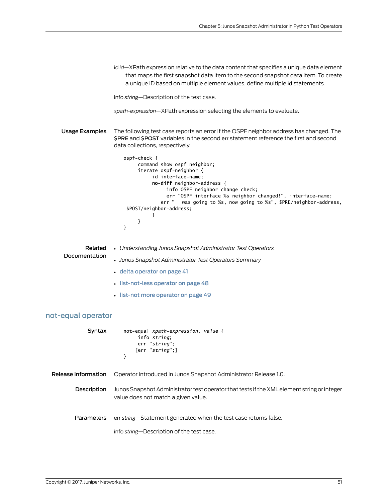id *id*—XPath expression relative to the data content that specifies a unique data element that maps the first snapshot data item to the second snapshot data item. To create a unique ID based on multiple element values, define multiple id statements. info *string*—Description of the test case. *xpath-expression*—XPath expression selecting the elements to evaluate. Usage Examples The following test case reports an error if the OSPF neighbor address has changed. The \$PRE and \$POST variables in the second err statement reference the first and second data collections, respectively. ospf-check { command show ospf neighbor; iterate ospf-neighbor { id interface-name; **no-diff** neighbor-address { info OSPF neighbor change check; err "OSPF interface %s neighbor changed!", interface-name; err " was going to %s, now going to %s", \$PRE/neighbor-address, \$POST/neighbor-address; } } } Related Documentation • *Understanding Junos Snapshot Administrator Test Operators* • *Junos Snapshot Administrator Test Operators Summary* • delta [operator](#page-54-0) on page 41 • [list-not-less](#page-61-0) operator on page 48

• list-not more [operator](#page-62-0) on page 49

# <span id="page-64-0"></span>not-equal operator

| Syntax              | not-equal xpath-expression, value {<br>info string:<br>err "string":<br>[err "string":]<br>}                                      |
|---------------------|-----------------------------------------------------------------------------------------------------------------------------------|
| Release Information | Operator introduced in Junos Snapshot Administrator Release 1.0.                                                                  |
| Description         | Junos Snapshot Administrator test operator that tests if the XML element string or integer<br>value does not match a given value. |
| <b>Parameters</b>   | err string—Statement generated when the test case returns false.                                                                  |
|                     | info string-Description of the test case.                                                                                         |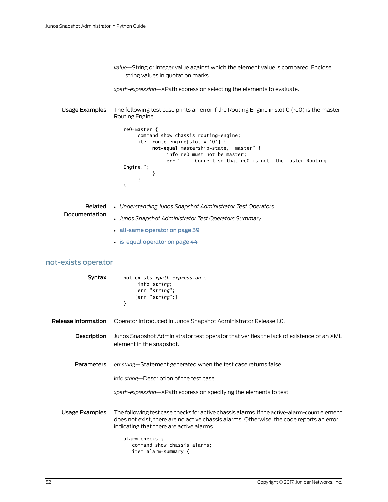<span id="page-65-0"></span>

|                          | value—String or integer value against which the element value is compared. Enclose<br>string values in quotation marks.                                                                                                                                                                                                                                                      |
|--------------------------|------------------------------------------------------------------------------------------------------------------------------------------------------------------------------------------------------------------------------------------------------------------------------------------------------------------------------------------------------------------------------|
|                          | xpath-expression-XPath expression selecting the elements to evaluate.                                                                                                                                                                                                                                                                                                        |
| Usage Examples           | The following test case prints an error if the Routing Engine in slot 0 (re0) is the master<br>Routing Engine.<br>reO-master {<br>command show chassis routing-engine;<br>item route-engine[slot = $'0'$ ] {<br>not-equal mastership-state, "master" {<br>info reO must not be master;<br>err "<br>Correct so that reO is not the master Routing<br>Engine!";<br>ł<br>}<br>ł |
| Related<br>Documentation | • Understanding Junos Snapshot Administrator Test Operators<br>• Junos Snapshot Administrator Test Operators Summary                                                                                                                                                                                                                                                         |
|                          | all-same operator on page 39                                                                                                                                                                                                                                                                                                                                                 |
|                          | · is-equal operator on page 44                                                                                                                                                                                                                                                                                                                                               |
|                          |                                                                                                                                                                                                                                                                                                                                                                              |
| not-exists operator      |                                                                                                                                                                                                                                                                                                                                                                              |
| Syntax                   | not-exists xpath-expression {<br>info string;<br>err "string";<br>[err "string";]<br>}                                                                                                                                                                                                                                                                                       |
| Release Information      | Operator introduced in Junos Snapshot Administrator Release 1.0.                                                                                                                                                                                                                                                                                                             |
| Description              | Junos Snapshot Administrator test operator that verifies the lack of existence of an XML<br>element in the snapshot.                                                                                                                                                                                                                                                         |
| <b>Parameters</b>        | err string-Statement generated when the test case returns false.                                                                                                                                                                                                                                                                                                             |
|                          | info string-Description of the test case.                                                                                                                                                                                                                                                                                                                                    |
|                          | xpath-expression-XPath expression specifying the elements to test.                                                                                                                                                                                                                                                                                                           |
| <b>Usage Examples</b>    | The following test case checks for active chassis alarms. If the active-alarm-count element<br>does not exist, there are no active chassis alarms. Otherwise, the code reports an error<br>indicating that there are active alarms.                                                                                                                                          |
|                          | alarm-checks {                                                                                                                                                                                                                                                                                                                                                               |

 command show chassis alarms; item alarm-summary {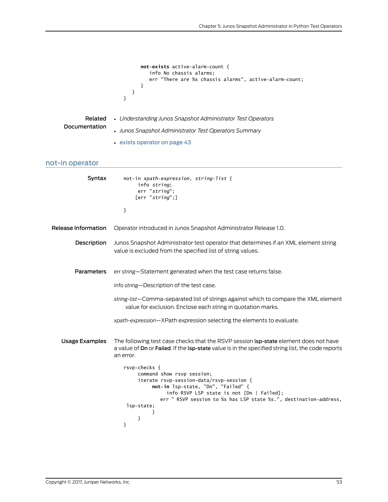```
not-exists active-alarm-count {
                                       info No chassis alarms;
                                       err "There are %s chassis alarms", active-alarm-count;
                                   }
                                }
                            }
              Related
      Documentation
                         • Understanding Junos Snapshot Administrator Test Operators
                         • Junos Snapshot Administrator Test Operators Summary
                         • exists operator on page 43
not-in operator
               Syntax not-in xpath-expression, string-list {
                                   info string;
                             err "string";
                             [err "string";]
                            }
  Release Information Operator introduced in Junos Snapshot Administrator Release 1.0.
           Description Junos Snapshot Administrator test operator that determines if an XML element string
                         value is excluded from the specified list of string values.
           Parameters err string—Statement generated when the test case returns false.
                         info string—Description of the test case.
                         string-list—Comma-separated list of strings against which to compare the XML element
                             value for exclusion. Enclose each string in quotation marks.
                         xpath-expression—XPath expression selecting the elements to evaluate.
     Usage Examples The following test case checks that the RSVP session lsp-state element does not have
                         a value of Dn or Failed. If the lsp-state value is in the specified string list, the code reports
                         an error.
                            rsvp-checks {
                                   command show rsvp session;
                                   iterate rsvp-session-data/rsvp-session {
                                       not-in lsp-state, "Dn", "Failed" {
                                             info RSVP LSP state is not [Dn | Failed];
                                           err " RSVP session to %s has LSP state %s.", destination-address,
                              lsp-state;
                             }
                                  }
                            }
```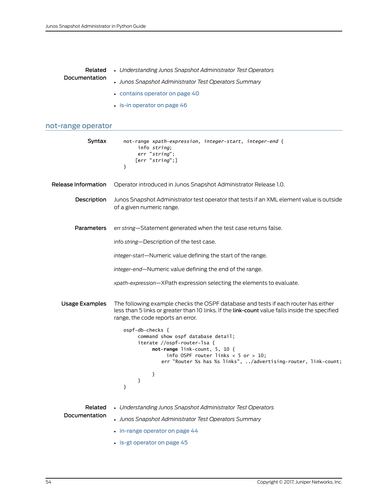|               | <b>Related</b> • Understanding Junos Snapshot Administrator Test Operators |
|---------------|----------------------------------------------------------------------------|
| Documentation | • Junos Snapshot Administrator Test Operators Summary                      |
|               | • contains operator on page 40                                             |
|               | $\cdot$ is-in operator on page 46                                          |

# <span id="page-67-0"></span>not-range operator

| Syntax                   | not-range xpath-expression, integer-start, integer-end {<br>info string;<br>err "string";<br>[err "string";]<br>ł                                                                                                                                                                                                                                                                                |
|--------------------------|--------------------------------------------------------------------------------------------------------------------------------------------------------------------------------------------------------------------------------------------------------------------------------------------------------------------------------------------------------------------------------------------------|
| Release Information      | Operator introduced in Junos Snapshot Administrator Release 1.0.                                                                                                                                                                                                                                                                                                                                 |
| Description              | Junos Snapshot Administrator test operator that tests if an XML element value is outside<br>of a given numeric range.                                                                                                                                                                                                                                                                            |
| <b>Parameters</b>        | err string-Statement generated when the test case returns false.                                                                                                                                                                                                                                                                                                                                 |
|                          | info string-Description of the test case.                                                                                                                                                                                                                                                                                                                                                        |
|                          | integer-start-Numeric value defining the start of the range.                                                                                                                                                                                                                                                                                                                                     |
|                          | integer-end-Numeric value defining the end of the range.                                                                                                                                                                                                                                                                                                                                         |
|                          | xpath-expression-XPath expression selecting the elements to evaluate.                                                                                                                                                                                                                                                                                                                            |
| <b>Usage Examples</b>    | The following example checks the OSPF database and tests if each router has either<br>less than 5 links or greater than 10 links. If the link-count value falls inside the specified<br>range, the code reports an error.<br>ospf-db-checks {<br>command show ospf database detail;<br>iterate //ospf-router-lsa {<br>not-range link-count, $5, 10$ {<br>info OSPF router links $<$ 5 or $>$ 10; |
|                          | err "Router %s has %s links", /advertising-router, link-count;                                                                                                                                                                                                                                                                                                                                   |
|                          | }<br>}<br>ł                                                                                                                                                                                                                                                                                                                                                                                      |
| Related<br>Documentation | • Understanding Junos Snapshot Administrator Test Operators                                                                                                                                                                                                                                                                                                                                      |
|                          | • Junos Snapshot Administrator Test Operators Summary                                                                                                                                                                                                                                                                                                                                            |
|                          | $\cdot$ in-range operator on page 44                                                                                                                                                                                                                                                                                                                                                             |
|                          | • is-gt operator on page 45                                                                                                                                                                                                                                                                                                                                                                      |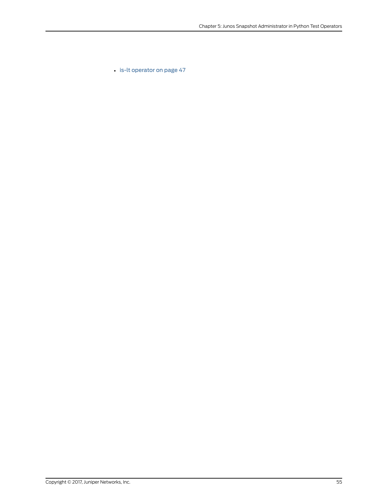• is-lt [operator](#page-60-0) on page 47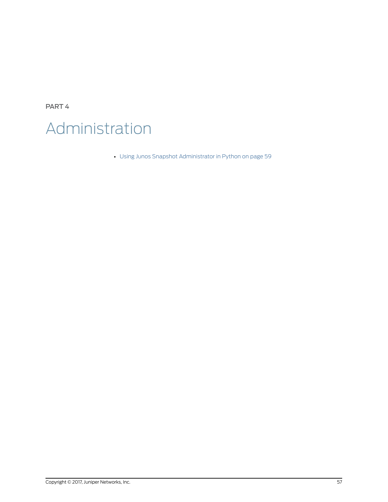PART 4 Administration

• Using Junos Snapshot [Administrator](#page-72-0) in Python on [page](#page-72-0) 59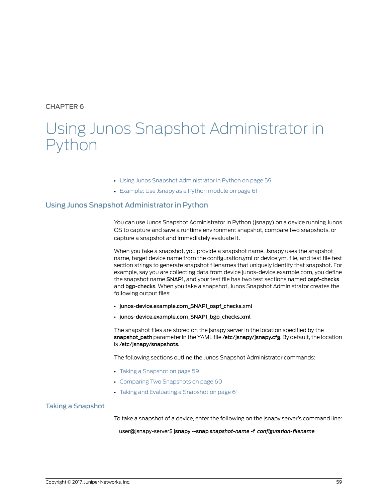# CHAPTER 6

# Using Junos Snapshot Administrator in Python

- Using Junos Snapshot [Administrator](#page-72-0) in Python on [page](#page-72-0) 59
- [Example:](#page-74-0) Use Jsnapy as a Python module on [page](#page-74-0) 61

# <span id="page-72-0"></span>Using Junos Snapshot Administrator in Python

You can use Junos Snapshot Administrator in Python (jsnapy) on a device running Junos OS to capture and save a runtime environment snapshot, compare two snapshots, or capture a snapshot and immediately evaluate it.

When you take a snapshot, you provide a snapshot name. Jsnapy uses the snapshot name, target device name from the configuration.yml or device.yml file, and test file test section strings to generate snapshot filenames that uniquely identify that snapshot. For example, say you are collecting data from device junos-device.example.com, you define the snapshot name SNAP1, and your test file has two test sections named ospf-checks and bgp-checks. When you take a snapshot, Junos Snapshot Administrator creates the following output files:

- junos-device.example.com\_SNAP1\_ospf\_checks.xml
- junos-device.example.com\_SNAP1\_bgp\_checks.xml

The snapshot files are stored on the jsnapy server in the location specified by the snapshot\_path parameter in the YAML file /etc/jsnapy/jsnapy.cfg. By default, the location is /etc/jsnapy/snapshots.

The following sections outline the Junos Snapshot Administrator commands:

- Taking a [Snapshot](#page-72-1) on [page](#page-72-1) 59
- [Comparing](#page-73-0) Two Snapshots on [page](#page-73-0) 60
- Taking and [Evaluating](#page-74-1) a Snapshot on [page](#page-74-1) 61

# <span id="page-72-1"></span>Taking a Snapshot

To take a snapshot of a device, enter the following on the jsnapy server's command line:

user@jsnapy-server\$ jsnapy --snap *snapshot-name* -f *configuration-filename*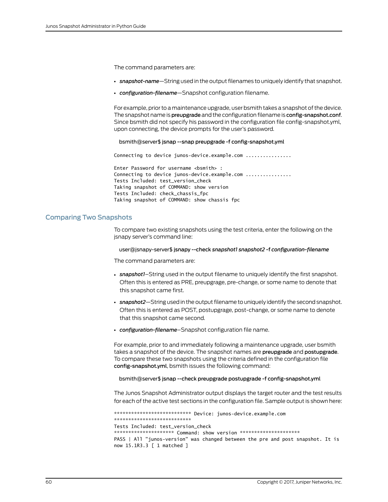The command parameters are:

- *snapshot-name*—String used in the output filenames to uniquely identify that snapshot.
- *configuration-filename*—Snapshot configuration filename.

For example, prior to a maintenance upgrade, user bsmith takes a snapshot of the device. The snapshot name is preupgrade and the configuration filename is config-snapshot.conf. Since bsmith did not specify his password in the configuration file config-snapshot.yml, upon connecting, the device prompts for the user's password.

#### bsmith@server\$ jsnap --snap preupgrade -f config-snapshot.yml

Connecting to device junos-device.example.com ................

Enter Password for username <br/>bsmith> : Connecting to device junos-device.example.com ................ Tests Included: test\_version\_check Taking snapshot of COMMAND: show version Tests Included: check\_chassis\_fpc Taking snapshot of COMMAND: show chassis fpc

## <span id="page-73-0"></span>Comparing Two Snapshots

To compare two existing snapshots using the test criteria, enter the following on the jsnapy server's command line:

#### user@jsnapy-server\$ jsnapy --check *snapshot1 snapshot2* -f *configuration-filename*

The command parameters are:

- *snapshot1*–String used in the output filename to uniquely identify the first snapshot. Often this is entered as PRE, preupgrage, pre-change, or some name to denote that this snapshot came first.
- *snapshot2*—String usedin the output filename to uniquely identify the secondsnapshot. Often this is entered as POST, postupgrage, post-change, or some name to denote that this snapshot came second.
- *configuration-filename*–Snapshot configuration file name.

For example, prior to and immediately following a maintenance upgrade, user bsmith takes a snapshot of the device. The snapshot names are preupgrade and postupgrade. To compare these two snapshots using the criteria defined in the configuration file config-snapshot.yml, bsmith issues the following command:

#### bsmith@server\$ jsnap --check preupgrade postupgrade -f config-snapshot.yml

The Junos Snapshot Administrator output displays the target router and the test results for each of the active test sections in the configuration file. Sample output is shown here:

\*\*\*\*\*\*\*\*\*\*\*\*\*\*\*\*\*\*\*\*\*\*\*\*\*\*\* Device: junos-device.example.com \*\*\*\*\*\*\*\*\*\*\*\*\*\*\*\*\*\*\*\*\*\*\*\*\*\*\* Tests Included: test\_version\_check \*\*\*\*\*\*\*\*\*\*\*\*\*\*\*\*\*\*\*\*\*\*\* Command: show version \*\*\*\*\*\*\*\*\*\*\*\*\*\*\*\*\*\*\*\*\*\*\*\* PASS | All "junos-version" was changed between the pre and post snapshot. It is now 15.1R3.3 [ 1 matched ]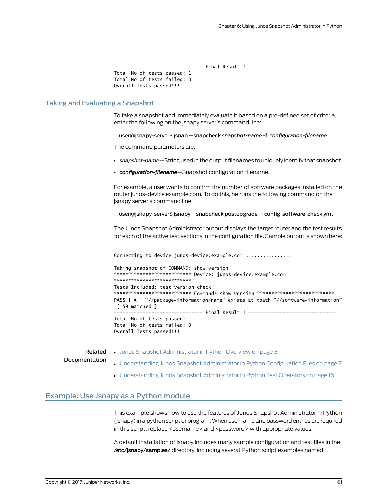```
Total No of tests passed: 1
Total No of tests failed: 0
Overall Tests passed!!!
```
## <span id="page-74-1"></span>**Taking and Evaluating a Snapshot**

To take a snapshot and immediately evaluate it based on a pre-defined set of criteria, enter the following on the jsnapy server's command line:

user@jsnapy-server\$ jsnap --snapcheck snapshot-name -f configuration-filename

The command parameters are:

- snapshot-name-String used in the output filenames to uniquely identify that snapshot.
- configuration-filename-Snapshot configuration filename.

For example, a user wants to confirm the number of software packages installed on the router junos-device.example.com. To do this, he runs the following command on the jsnapy server's command line:

#### user@jsnapy-server\$ jsnapy --snapcheck postupgrade -f config-software-check.yml

The Junos Snapshot Administrator output displays the target router and the test results for each of the active test sections in the configuration file. Sample output is shown here:

Connecting to device junos-device.example.com ................

Taking snapshot of COMMAND: show version \*\*\*\*\*\*\*\*\*\*\*\*\*\*\*\*\*\*\*\*\*\*\*\*\* Device: junos-device.example.com \*\*\*\*\*\*\*\*\*\*\*\*\*\*\*\*\*\*\*\*\*\*\*\*\*\*\* Tests Included: test\_version\_check \*\*\*\*\*\*\*\*\*\*\*\*\*\*\*\*\*\*\*\*\*\*\*\*\*\*\* Command: show version \*\*\*\*\*\*\*\*\*\*\*\*\*\*\*\*\*\*\*\*\*\*\*\*\*\*\*\*\* PASS | All "//package-information/name" exists at xpath "//software-information" [ 59 matched ] --------------------------- Final Result!! -------------------------------Total No of tests passed: 1 Total No of tests failed: 0 Overall Tests passed!!!

<span id="page-74-0"></span>Related . Junos Snapshot Administrator in Python Overview on page 3 Documentation • Understanding Junos Snapshot Administrator in Python Configuration Files on page 7

• Understanding Junos Snapshot Administrator in Python Test Operators on page 16

## Example: Use Jsnapy as a Python module

This example shows how to use the features of Junos Snapshot Administrator in Python (jsnapy) in a python script or program. When username and password entries are required in this script, replace <username> and <password> with appropriate values.

A default installation of jsnapy includes many sample configuration and test files in the /etc/jsnapy/samples/ directory, including several Python script examples named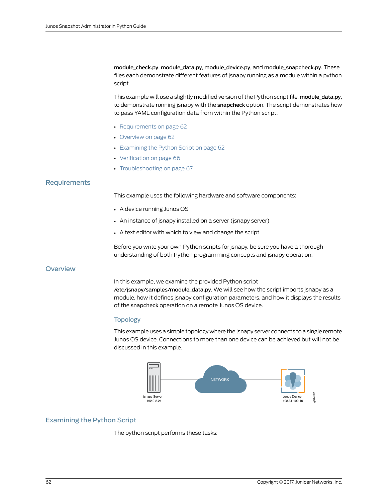module\_check.py, module\_data.py, module\_device.py, and module\_snapcheck.py. These files each demonstrate different features of jsnapy running as a module within a python script.

This example will use a slightly modified version of the Python script file, module data.py, to demonstrate running jsnapy with the snapcheck option. The script demonstrates how to pass YAML configuration data from within the Python script.

- [Requirements](#page-75-0) on [page](#page-75-0) 62
- [Overview](#page-75-1) on [page](#page-75-1) 62
- [Examining](#page-75-2) the Python Script on [page](#page-75-2) 62
- [Verification](#page-79-0) on [page](#page-79-0) 66
- [Troubleshooting](#page-80-0) on [page](#page-80-0) 67

# <span id="page-75-0"></span>**Requirements**

This example uses the following hardware and software components:

- A device running Junos OS
- An instance of jsnapy installed on a server (jsnapy server)
- A text editor with which to view and change the script

Before you write your own Python scripts for jsnapy, be sure you have a thorough understanding of both Python programming concepts and jsnapy operation.

## <span id="page-75-1"></span>**Overview**

In this example, we examine the provided Python script /etc/jsnapy/samples/module\_data.py. We will see how the script imports jsnapy as a module, how it defines jsnapy configuration parameters, and how it displays the results of the snapcheck operation on a remote Junos OS device.

## Topology

This example uses a simple topology where the jsnapy server connects to a single remote Junos OS device. Connections to more than one device can be achieved but will not be discussed in this example.



# <span id="page-75-2"></span>Examining the Python Script

The python script performs these tasks: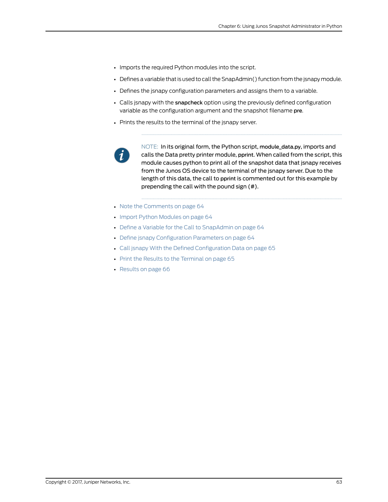- Imports the required Python modules into the script.
- Defines a variable that is used to call the SnapAdmin() function from the jsnapy module.
- Defines the jsnapy configuration parameters and assigns them to a variable.
- Calls jsnapy with the snapcheck option using the previously defined configuration variable as the configuration argument and the snapshot filename pre.
- Prints the results to the terminal of the jsnapy server.



NOTE: In its original form, the Python script, module\_data.py, imports and calls the Data pretty printer module, pprint. When called from the script, this module causes python to print all of the snapshot data that jsnapy receives from the Junos OS device to the terminal of the jsnapy server. Due to the length of this data, the call to pprint is commented out for this example by prepending the call with the pound sign (#).

- Note the [Comments](#page-77-0) on [page](#page-77-0) 64
- Import Python [Modules](#page-77-1) on [page](#page-77-1) 64
- Define a Variable for the Call to [SnapAdmin](#page-77-2) on [page](#page-77-2) 64
- Define jsnapy [Configuration](#page-77-3) Parameters on [page](#page-77-3) 64
- Call jsnapy With the Defined [Configuration](#page-78-0) Data on [page](#page-78-0) 65
- Print the Results to the [Terminal](#page-78-1) on [page](#page-78-1) 65
- [Results](#page-79-1) on [page](#page-79-1) 66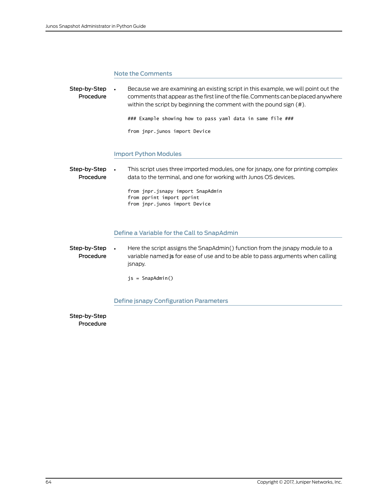## <span id="page-77-0"></span>Note the Comments

Step-by-Step Procedure • Because we are examining an existing script in this example, we will point out the comments that appear as the first line of the file. Comments can be placed anywhere within the script by beginning the comment with the pound sign (#). ### Example showing how to pass yaml data in same file ### from jnpr.junos import Device Import Python Modules

<span id="page-77-1"></span>Step-by-Step Procedure • This script uses three imported modules, one for jsnapy, one for printing complex data to the terminal, and one for working with Junos OS devices. from jnpr.jsnapy import SnapAdmin from pprint import pprint from jnpr.junos import Device

## <span id="page-77-2"></span>Define a Variable for the Call to SnapAdmin

Step-by-Step Procedure • Here the script assigns the SnapAdmin() function from the jsnapy module to a variable named js for ease of use and to be able to pass arguments when calling jsnapy.

<span id="page-77-3"></span>js = SnapAdmin()

## Define jsnapy Configuration Parameters

Step-by-Step Procedure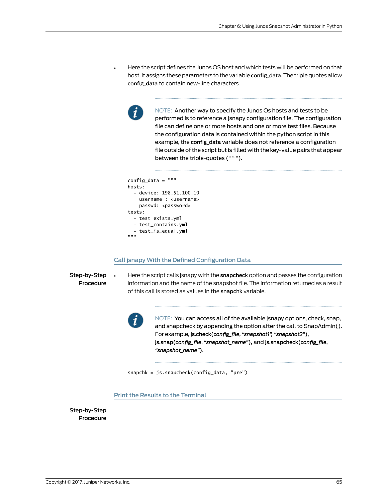• Here the script defines the Junos OS host and which tests will be performed on that host. It assigns these parameters to the variable config\_data. The triple quotes allow config\_data to contain new-line characters.



NOTE: Another way to specify the Junos Os hosts and tests to be performed is to reference a jsnapy configuration file. The configuration file can define one or more hosts and one or more test files. Because the configuration data is contained within the python script in this example, the config data variable does not reference a configuration file outside of the script but is filled with the key-value pairs that appear between the triple-quotes (" " ").

```
config_data = """
hosts:
   - device: 198.51.100.10
     username : <username>
    passwd: <password>
tests:
   - test_exists.yml
   - test_contains.yml
   - test_is_equal.yml
"""
```
### <span id="page-78-0"></span>Call jsnapy With the Defined Configuration Data

Step-by-Step Procedure • Here the script calls jsnapy with the snapcheck option and passes the configuration information and the name of the snapshot file. The information returned as a result of this call is stored as values in the snapchk variable.



NOTE: You can access all of the available jsnapy options, check, snap, and snapcheck by appending the option after the call to SnapAdmin(). For example, js.check(*config\_file*, *"snapshot1", "snapshot2"*), js.snap(*config\_file*, *"snapshot\_name"*), and js.snapcheck(*config\_file*, *"snapshot\_name"*).

<span id="page-78-1"></span>snapchk = js.snapcheck(config\_data, "pre")

### Print the Results to the Terminal

Step-by-Step Procedure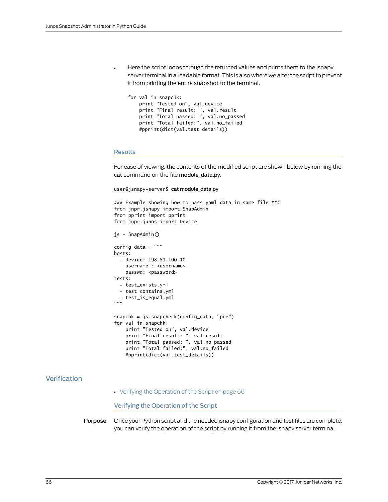• Here the script loops through the returned values and prints them to the jsnapy server terminal in a readable format. This is also where we alter the script to prevent it from printing the entire snapshot to the terminal.

```
for val in snapchk:
    print "Tested on", val.device
 print "Final result: ", val.result
 print "Total passed: ", val.no_passed
 print "Total failed:", val.no_failed
    #pprint(dict(val.test_details))
```
#### <span id="page-79-1"></span>Results

For ease of viewing, the contents of the modified script are shown below by running the cat command on the file module\_data.py.

```
user@jsnapy-server$ cat module_data.py
```

```
### Example showing how to pass yaml data in same file ###
from jnpr.jsnapy import SnapAdmin
from pprint import pprint
from jnpr.junos import Device
js = SnapAdmin()
config_data = """
hosts:
   - device: 198.51.100.10
    username : <username>
   passwd: <password>
tests:
   - test_exists.yml
   - test_contains.yml
 - test_is_equal.yml
"""
snapchk = js.snapcheck(config_data, "pre")
for val in snapchk:
     print "Tested on", val.device
     print "Final result: ", val.result
     print "Total passed: ", val.no_passed
     print "Total failed:", val.no_failed
     #pprint(dict(val.test_details))
```
# <span id="page-79-0"></span>Verification

<span id="page-79-2"></span>• Verifying the [Operation](#page-79-2) of the Script on [page](#page-79-2) 66

Verifying the Operation of the Script

Purpose Once your Python script and the needed jsnapy configuration and test files are complete, you can verify the operation of the script by running it from the jsnapy server terminal.